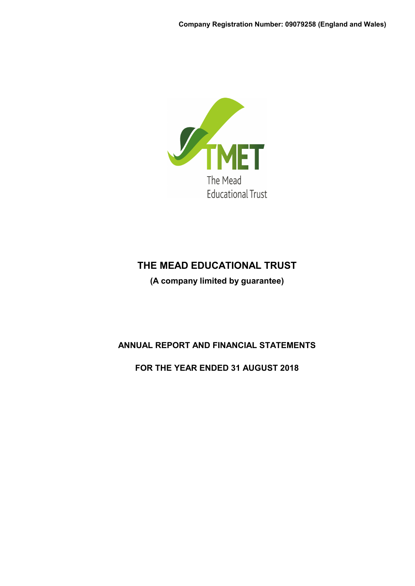

**(A company limited by guarantee)**

# **ANNUAL REPORT AND FINANCIAL STATEMENTS**

**FOR THE YEAR ENDED 31 AUGUST 2018**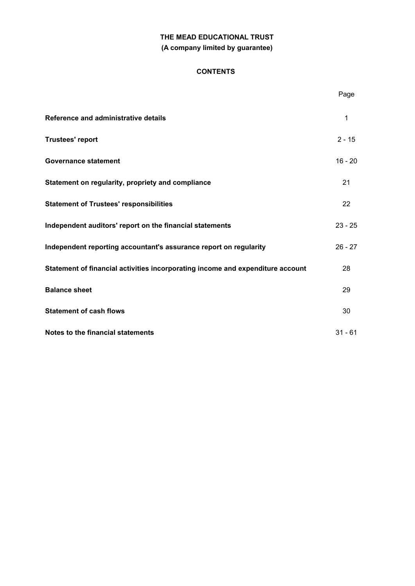# **THE MEAD EDUCATIONAL TRUST (A company limited by guarantee)**

# **CONTENTS**

|                                                                                | Page      |
|--------------------------------------------------------------------------------|-----------|
| Reference and administrative details                                           | 1         |
| <b>Trustees' report</b>                                                        | $2 - 15$  |
| <b>Governance statement</b>                                                    | $16 - 20$ |
| Statement on regularity, propriety and compliance                              | 21        |
| <b>Statement of Trustees' responsibilities</b>                                 | 22        |
| Independent auditors' report on the financial statements                       | $23 - 25$ |
| Independent reporting accountant's assurance report on regularity              | $26 - 27$ |
| Statement of financial activities incorporating income and expenditure account | 28        |
| <b>Balance sheet</b>                                                           | 29        |
| <b>Statement of cash flows</b>                                                 | 30        |
| Notes to the financial statements                                              | $31 - 61$ |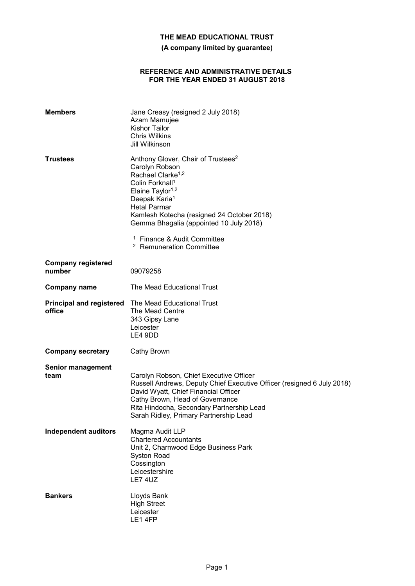**(A company limited by guarantee)**

#### **REFERENCE AND ADMINISTRATIVE DETAILS FOR THE YEAR ENDED 31 AUGUST 2018**

| <b>Members</b>                      | Jane Creasy (resigned 2 July 2018)<br>Azam Mamujee<br><b>Kishor Tailor</b><br><b>Chris Wilkins</b><br>Jill Wilkinson                                                                                                                                                                                                                                    |
|-------------------------------------|---------------------------------------------------------------------------------------------------------------------------------------------------------------------------------------------------------------------------------------------------------------------------------------------------------------------------------------------------------|
| <b>Trustees</b>                     | Anthony Glover, Chair of Trustees <sup>2</sup><br>Carolyn Robson<br>Rachael Clarke <sup>1,2</sup><br>Colin Forknall <sup>1</sup><br>Elaine Taylor <sup>1,2</sup><br>Deepak Karia <sup>1</sup><br><b>Hetal Parmar</b><br>Kamlesh Kotecha (resigned 24 October 2018)<br>Gemma Bhagalia (appointed 10 July 2018)<br><sup>1</sup> Finance & Audit Committee |
|                                     | <sup>2</sup> Remuneration Committee                                                                                                                                                                                                                                                                                                                     |
| <b>Company registered</b><br>number | 09079258                                                                                                                                                                                                                                                                                                                                                |
| <b>Company name</b>                 | The Mead Educational Trust                                                                                                                                                                                                                                                                                                                              |
| office                              | <b>Principal and registered</b> The Mead Educational Trust<br>The Mead Centre<br>343 Gipsy Lane<br>Leicester<br>LE4 9DD                                                                                                                                                                                                                                 |
| <b>Company secretary</b>            | Cathy Brown                                                                                                                                                                                                                                                                                                                                             |
| <b>Senior management</b><br>team    | Carolyn Robson, Chief Executive Officer<br>Russell Andrews, Deputy Chief Executive Officer (resigned 6 July 2018)<br>David Wyatt, Chief Financial Officer<br>Cathy Brown, Head of Governance<br>Rita Hindocha, Secondary Partnership Lead<br>Sarah Ridley, Primary Partnership Lead                                                                     |
| <b>Independent auditors</b>         | Magma Audit LLP<br><b>Chartered Accountants</b><br>Unit 2, Charnwood Edge Business Park<br><b>Syston Road</b><br>Cossington<br>Leicestershire<br>LE7 4UZ                                                                                                                                                                                                |
| <b>Bankers</b>                      | Lloyds Bank<br><b>High Street</b><br>Leicester<br>LE14FP                                                                                                                                                                                                                                                                                                |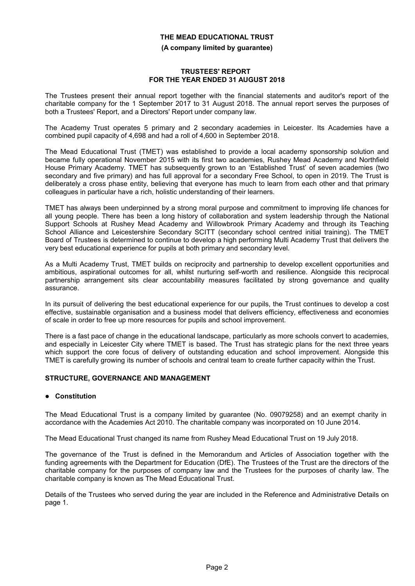#### **(A company limited by guarantee)**

#### **TRUSTEES' REPORT FOR THE YEAR ENDED 31 AUGUST 2018**

The Trustees present their annual report together with the financial statements and auditor's report of the charitable company for the 1 September 2017 to 31 August 2018. The annual report serves the purposes of both a Trustees' Report, and a Directors' Report under company law.

The Academy Trust operates 5 primary and 2 secondary academies in Leicester. Its Academies have a combined pupil capacity of 4,698 and had a roll of 4,600 in September 2018.

The Mead Educational Trust (TMET) was established to provide a local academy sponsorship solution and became fully operational November 2015 with its first two academies, Rushey Mead Academy and Northfield House Primary Academy. TMET has subsequently grown to an 'Established Trust' of seven academies (two secondary and five primary) and has full approval for a secondary Free School, to open in 2019. The Trust is deliberately a cross phase entity, believing that everyone has much to learn from each other and that primary colleagues in particular have a rich, holistic understanding of their learners.

TMET has always been underpinned by a strong moral purpose and commitment to improving life chances for all young people. There has been a long history of collaboration and system leadership through the National Support Schools at Rushey Mead Academy and Willowbrook Primary Academy and through its Teaching School Alliance and Leicestershire Secondary SCITT (secondary school centred initial training). The TMET Board of Trustees is determined to continue to develop a high performing Multi Academy Trust that delivers the very best educational experience for pupils at both primary and secondary level.

As a Multi Academy Trust, TMET builds on reciprocity and partnership to develop excellent opportunities and ambitious, aspirational outcomes for all, whilst nurturing self-worth and resilience. Alongside this reciprocal partnership arrangement sits clear accountability measures facilitated by strong governance and quality assurance.

In its pursuit of delivering the best educational experience for our pupils, the Trust continues to develop a cost effective, sustainable organisation and a business model that delivers efficiency, effectiveness and economies of scale in order to free up more resources for pupils and school improvement.

There is a fast pace of change in the educational landscape, particularly as more schools convert to academies, and especially in Leicester City where TMET is based. The Trust has strategic plans for the next three years which support the core focus of delivery of outstanding education and school improvement. Alongside this TMET is carefully growing its number of schools and central team to create further capacity within the Trust.

## **STRUCTURE, GOVERNANCE AND MANAGEMENT**

## **Constitution**

The Mead Educational Trust is a company limited by guarantee (No. 09079258) and an exempt charity in accordance with the Academies Act 2010. The charitable company was incorporated on 10 June 2014.

The Mead Educational Trust changed its name from Rushey Mead Educational Trust on 19 July 2018.

The governance of the Trust is defined in the Memorandum and Articles of Association together with the funding agreements with the Department for Education (DfE). The Trustees of the Trust are the directors of the charitable company for the purposes of company law and the Trustees for the purposes of charity law. The charitable company is known as The Mead Educational Trust.

Details of the Trustees who served during the year are included in the Reference and Administrative Details on page 1.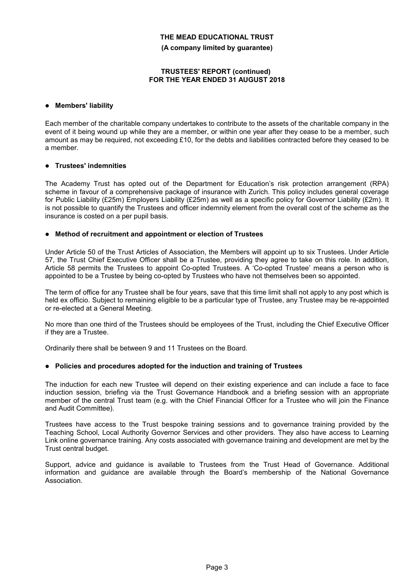**(A company limited by guarantee)**

### **TRUSTEES' REPORT (continued) FOR THE YEAR ENDED 31 AUGUST 2018**

### **Members' liability**

Each member of the charitable company undertakes to contribute to the assets of the charitable company in the event of it being wound up while they are a member, or within one year after they cease to be a member, such amount as may be required, not exceeding £10, for the debts and liabilities contracted before they ceased to be a member.

### **Trustees' indemnities**

The Academy Trust has opted out of the Department for Education's risk protection arrangement (RPA) scheme in favour of a comprehensive package of insurance with Zurich. This policy includes general coverage for Public Liability (£25m) Employers Liability (£25m) as well as a specific policy for Governor Liability (£2m). It is not possible to quantify the Trustees and officer indemnity element from the overall cost of the scheme as the insurance is costed on a per pupil basis.

### **Method of recruitment and appointment or election of Trustees**

Under Article 50 of the Trust Articles of Association, the Members will appoint up to six Trustees. Under Article 57, the Trust Chief Executive Officer shall be a Trustee, providing they agree to take on this role. In addition, Article 58 permits the Trustees to appoint Co-opted Trustees. A 'Co-opted Trustee' means a person who is appointed to be a Trustee by being co-opted by Trustees who have not themselves been so appointed.

The term of office for any Trustee shall be four years, save that this time limit shall not apply to any post which is held ex officio. Subject to remaining eligible to be a particular type of Trustee, any Trustee may be re-appointed or re-elected at a General Meeting.

No more than one third of the Trustees should be employees of the Trust, including the Chief Executive Officer if they are a Trustee.

Ordinarily there shall be between 9 and 11 Trustees on the Board.

## **Policies and procedures adopted for the induction and training of Trustees**

The induction for each new Trustee will depend on their existing experience and can include a face to face induction session, briefing via the Trust Governance Handbook and a briefing session with an appropriate member of the central Trust team (e.g. with the Chief Financial Officer for a Trustee who will join the Finance and Audit Committee).

Trustees have access to the Trust bespoke training sessions and to governance training provided by the Teaching School, Local Authority Governor Services and other providers. They also have access to Learning Link online governance training. Any costs associated with governance training and development are met by the Trust central budget.

Support, advice and guidance is available to Trustees from the Trust Head of Governance. Additional information and guidance are available through the Board's membership of the National Governance Association.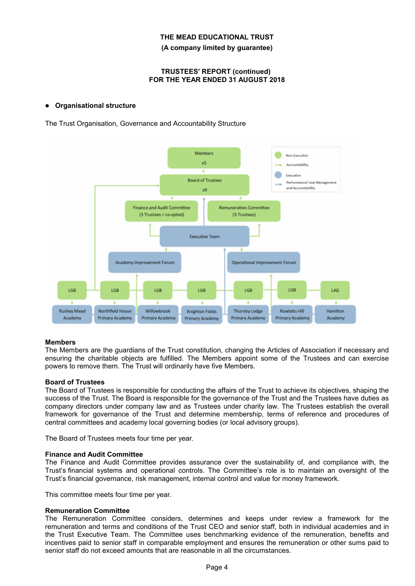**(A company limited by guarantee)**

#### **TRUSTEES' REPORT (continued) FOR THE YEAR ENDED 31 AUGUST 2018**

## **Organisational structure**

The Trust Organisation, Governance and Accountability Structure



## **Members**

The Members are the guardians of the Trust constitution, changing the Articles of Association if necessary and ensuring the charitable objects are fulfilled. The Members appoint some of the Trustees and can exercise powers to remove them. The Trust will ordinarily have five Members.

## **Board of Trustees**

The Board of Trustees is responsible for conducting the affairs of the Trust to achieve its objectives, shaping the success of the Trust. The Board is responsible for the governance of the Trust and the Trustees have duties as company directors under company law and as Trustees under charity law. The Trustees establish the overall framework for governance of the Trust and determine membership, terms of reference and procedures of central committees and academy local governing bodies (or local advisory groups).

The Board of Trustees meets four time per year.

#### **Finance and Audit Committee**

The Finance and Audit Committee provides assurance over the sustainability of, and compliance with, the Trust's financial systems and operational controls. The Committee's role is to maintain an oversight of the Trust's financial governance, risk management, internal control and value for money framework.

This committee meets four time per year.

#### **Remuneration Committee**

The Remuneration Committee considers, determines and keeps under review a framework for the remuneration and terms and conditions of the Trust CEO and senior staff, both in individual academies and in the Trust Executive Team. The Committee uses benchmarking evidence of the remuneration, benefits and incentives paid to senior staff in comparable employment and ensures the remuneration or other sums paid to senior staff do not exceed amounts that are reasonable in all the circumstances.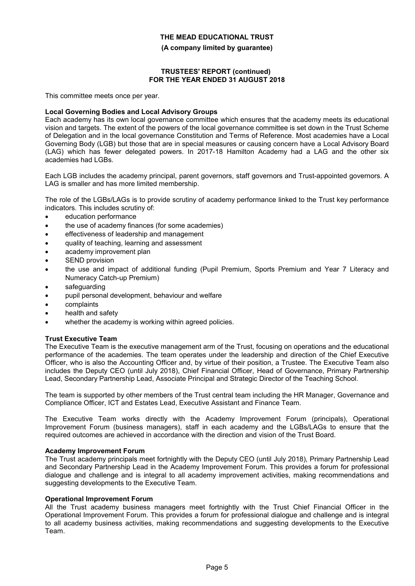**(A company limited by guarantee)**

### **TRUSTEES' REPORT (continued) FOR THE YEAR ENDED 31 AUGUST 2018**

This committee meets once per year.

### **Local Governing Bodies and Local Advisory Groups**

Each academy has its own local governance committee which ensures that the academy meets its educational vision and targets. The extent of the powers of the local governance committee is set down in the Trust Scheme of Delegation and in the local governance Constitution and Terms of Reference. Most academies have a Local Governing Body (LGB) but those that are in special measures or causing concern have a Local Advisory Board (LAG) which has fewer delegated powers. In 2017-18 Hamilton Academy had a LAG and the other six academies had LGBs.

Each LGB includes the academy principal, parent governors, staff governors and Trust-appointed governors. A LAG is smaller and has more limited membership.

The role of the LGBs/LAGs is to provide scrutiny of academy performance linked to the Trust key performance indicators. This includes scrutiny of:

- education performance
- the use of academy finances (for some academies)
- effectiveness of leadership and management
- quality of teaching, learning and assessment
- academy improvement plan
- SEND provision
- the use and impact of additional funding (Pupil Premium, Sports Premium and Year 7 Literacy and Numeracy Catch-up Premium)
- safeguarding
- pupil personal development, behaviour and welfare
- complaints
- health and safety
- whether the academy is working within agreed policies.

#### **Trust Executive Team**

The Executive Team is the executive management arm of the Trust, focusing on operations and the educational performance of the academies. The team operates under the leadership and direction of the Chief Executive Officer, who is also the Accounting Officer and, by virtue of their position, a Trustee. The Executive Team also includes the Deputy CEO (until July 2018), Chief Financial Officer, Head of Governance, Primary Partnership Lead, Secondary Partnership Lead, Associate Principal and Strategic Director of the Teaching School.

The team is supported by other members of the Trust central team including the HR Manager, Governance and Compliance Officer, ICT and Estates Lead, Executive Assistant and Finance Team.

The Executive Team works directly with the Academy Improvement Forum (principals), Operational Improvement Forum (business managers), staff in each academy and the LGBs/LAGs to ensure that the required outcomes are achieved in accordance with the direction and vision of the Trust Board.

#### **Academy Improvement Forum**

The Trust academy principals meet fortnightly with the Deputy CEO (until July 2018), Primary Partnership Lead and Secondary Partnership Lead in the Academy Improvement Forum. This provides a forum for professional dialogue and challenge and is integral to all academy improvement activities, making recommendations and suggesting developments to the Executive Team.

#### **Operational Improvement Forum**

All the Trust academy business managers meet fortnightly with the Trust Chief Financial Officer in the Operational Improvement Forum. This provides a forum for professional dialogue and challenge and is integral to all academy business activities, making recommendations and suggesting developments to the Executive Team.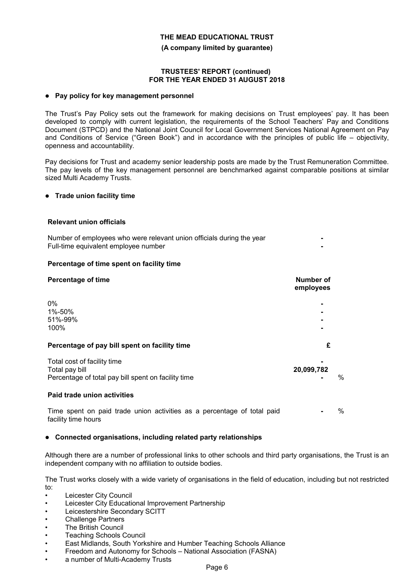**(A company limited by guarantee)**

### **TRUSTEES' REPORT (continued) FOR THE YEAR ENDED 31 AUGUST 2018**

#### **Pay policy for key management personnel**

The Trust's Pay Policy sets out the framework for making decisions on Trust employees' pay. It has been developed to comply with current legislation, the requirements of the School Teachers' Pay and Conditions Document (STPCD) and the National Joint Council for Local Government Services National Agreement on Pay and Conditions of Service ("Green Book") and in accordance with the principles of public life – objectivity, openness and accountability.

Pay decisions for Trust and academy senior leadership posts are made by the Trust Remuneration Committee. The pay levels of the key management personnel are benchmarked against comparable positions at similar sized Multi Academy Trusts.

#### **Trade union facility time**

#### **Relevant union officials**

Number of employees who were relevant union officials during the year **-** Full-time equivalent employee number **-**

#### **Percentage of time spent on facility time**

| <b>Percentage of time</b>                                                                            | Number of<br>employees |   |
|------------------------------------------------------------------------------------------------------|------------------------|---|
| $0\%$<br>1%-50%<br>51%-99%<br>100%                                                                   |                        |   |
| Percentage of pay bill spent on facility time                                                        | £                      |   |
| Total cost of facility time<br>Total pay bill<br>Percentage of total pay bill spent on facility time | 20,099,782             | % |
| Paid trade union activities                                                                          |                        |   |
| Time spent on paid trade union activities as a percentage of total paid<br>facility time hours       |                        | % |

#### **Connected organisations, including related party relationships**

Although there are a number of professional links to other schools and third party organisations, the Trust is an independent company with no affiliation to outside bodies.

The Trust works closely with a wide variety of organisations in the field of education, including but not restricted to:

- Leicester City Council
- Leicester City Educational Improvement Partnership
- Leicestershire Secondary SCITT
- Challenge Partners
- **The British Council**
- Teaching Schools Council
- East Midlands, South Yorkshire and Humber Teaching Schools Alliance
- Freedom and Autonomy for Schools National Association (FASNA)
- a number of Multi-Academy Trusts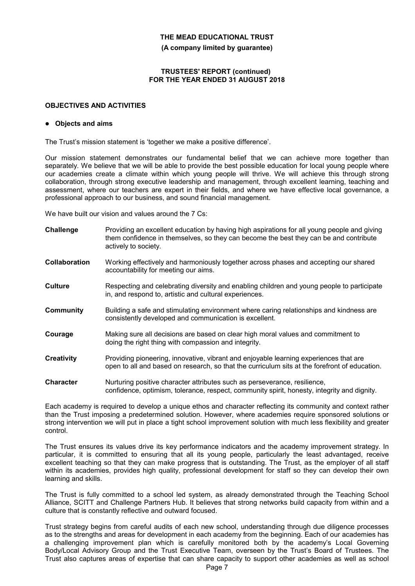**(A company limited by guarantee)**

### **TRUSTEES' REPORT (continued) FOR THE YEAR ENDED 31 AUGUST 2018**

### **OBJECTIVES AND ACTIVITIES**

#### **Objects and aims**

The Trust's mission statement is 'together we make a positive difference'.

Our mission statement demonstrates our fundamental belief that we can achieve more together than separately. We believe that we will be able to provide the best possible education for local young people where our academies create a climate within which young people will thrive. We will achieve this through strong collaboration, through strong executive leadership and management, through excellent learning, teaching and assessment, where our teachers are expert in their fields, and where we have effective local governance, a professional approach to our business, and sound financial management.

We have built our vision and values around the 7 Cs:

| Challenge            | Providing an excellent education by having high aspirations for all young people and giving<br>them confidence in themselves, so they can become the best they can be and contribute<br>actively to society. |
|----------------------|--------------------------------------------------------------------------------------------------------------------------------------------------------------------------------------------------------------|
| <b>Collaboration</b> | Working effectively and harmoniously together across phases and accepting our shared<br>accountability for meeting our aims.                                                                                 |
| Culture              | Respecting and celebrating diversity and enabling children and young people to participate<br>in, and respond to, artistic and cultural experiences.                                                         |
| Community            | Building a safe and stimulating environment where caring relationships and kindness are<br>consistently developed and communication is excellent.                                                            |
| Courage              | Making sure all decisions are based on clear high moral values and commitment to<br>doing the right thing with compassion and integrity.                                                                     |
| Creativity           | Providing pioneering, innovative, vibrant and enjoyable learning experiences that are<br>open to all and based on research, so that the curriculum sits at the forefront of education.                       |
| Character            | Nurturing positive character attributes such as perseverance, resilience,<br>confidence, optimism, tolerance, respect, community spirit, honesty, integrity and dignity.                                     |

Each academy is required to develop a unique ethos and character reflecting its community and context rather than the Trust imposing a predetermined solution. However, where academies require sponsored solutions or strong intervention we will put in place a tight school improvement solution with much less flexibility and greater control.

The Trust ensures its values drive its key performance indicators and the academy improvement strategy. In particular, it is committed to ensuring that all its young people, particularly the least advantaged, receive excellent teaching so that they can make progress that is outstanding. The Trust, as the employer of all staff within its academies, provides high quality, professional development for staff so they can develop their own learning and skills.

The Trust is fully committed to a school led system, as already demonstrated through the Teaching School Alliance, SCITT and Challenge Partners Hub. It believes that strong networks build capacity from within and a culture that is constantly reflective and outward focused.

Trust strategy begins from careful audits of each new school, understanding through due diligence processes as to the strengths and areas for development in each academy from the beginning. Each of our academies has a challenging improvement plan which is carefully monitored both by the academy's Local Governing Body/Local Advisory Group and the Trust Executive Team, overseen by the Trust's Board of Trustees. The Trust also captures areas of expertise that can share capacity to support other academies as well as school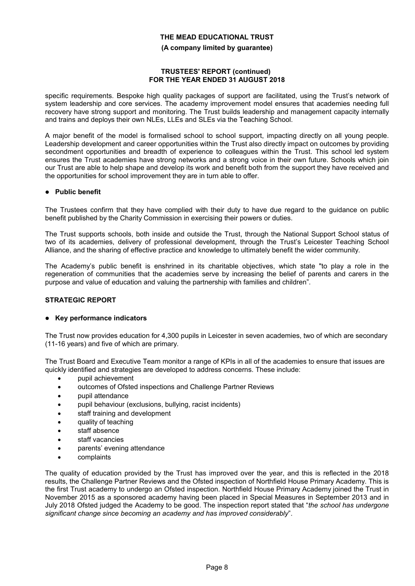**(A company limited by guarantee)**

#### **TRUSTEES' REPORT (continued) FOR THE YEAR ENDED 31 AUGUST 2018**

specific requirements. Bespoke high quality packages of support are facilitated, using the Trust's network of system leadership and core services. The academy improvement model ensures that academies needing full recovery have strong support and monitoring. The Trust builds leadership and management capacity internally and trains and deploys their own NLEs, LLEs and SLEs via the Teaching School.

A major benefit of the model is formalised school to school support, impacting directly on all young people. Leadership development and career opportunities within the Trust also directly impact on outcomes by providing secondment opportunities and breadth of experience to colleagues within the Trust. This school led system ensures the Trust academies have strong networks and a strong voice in their own future. Schools which join our Trust are able to help shape and develop its work and benefit both from the support they have received and the opportunities for school improvement they are in turn able to offer.

### **Public benefit**

The Trustees confirm that they have complied with their duty to have due regard to the guidance on public benefit published by the Charity Commission in exercising their powers or duties.

The Trust supports schools, both inside and outside the Trust, through the National Support School status of two of its academies, delivery of professional development, through the Trust's Leicester Teaching School Alliance, and the sharing of effective practice and knowledge to ultimately benefit the wider community.

The Academy's public benefit is enshrined in its charitable objectives, which state "to play a role in the regeneration of communities that the academies serve by increasing the belief of parents and carers in the purpose and value of education and valuing the partnership with families and children".

## **STRATEGIC REPORT**

## **Key performance indicators**

The Trust now provides education for 4,300 pupils in Leicester in seven academies, two of which are secondary (11-16 years) and five of which are primary.

The Trust Board and Executive Team monitor a range of KPIs in all of the academies to ensure that issues are quickly identified and strategies are developed to address concerns. These include:

- pupil achievement
- outcomes of Ofsted inspections and Challenge Partner Reviews
- pupil attendance
- pupil behaviour (exclusions, bullying, racist incidents)
- staff training and development
- quality of teaching
- staff absence
- staff vacancies
- parents' evening attendance
- complaints

The quality of education provided by the Trust has improved over the year, and this is reflected in the 2018 results, the Challenge Partner Reviews and the Ofsted inspection of Northfield House Primary Academy. This is the first Trust academy to undergo an Ofsted inspection. Northfield House Primary Academy joined the Trust in November 2015 as a sponsored academy having been placed in Special Measures in September 2013 and in July 2018 Ofsted judged the Academy to be good. The inspection report stated that "*the school has undergone significant change since becoming an academy and has improved considerably*".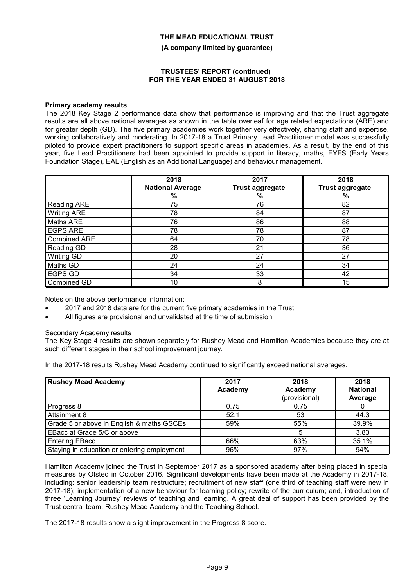**(A company limited by guarantee)**

#### **TRUSTEES' REPORT (continued) FOR THE YEAR ENDED 31 AUGUST 2018**

### **Primary academy results**

The 2018 Key Stage 2 performance data show that performance is improving and that the Trust aggregate results are all above national averages as shown in the table overleaf for age related expectations (ARE) and for greater depth (GD). The five primary academies work together very effectively, sharing staff and expertise, working collaboratively and moderating. In 2017-18 a Trust Primary Lead Practitioner model was successfully piloted to provide expert practitioners to support specific areas in academies. As a result, by the end of this year, five Lead Practitioners had been appointed to provide support in literacy, maths, EYFS (Early Years Foundation Stage), EAL (English as an Additional Language) and behaviour management.

|                     | 2018<br><b>National Average</b><br>% | 2017<br><b>Trust aggregate</b><br>% | 2018<br><b>Trust aggregate</b><br>% |
|---------------------|--------------------------------------|-------------------------------------|-------------------------------------|
| <b>Reading ARE</b>  | 75                                   | 76                                  | 82                                  |
| <b>Writing ARE</b>  | 78                                   | 84                                  | 87                                  |
| Maths ARE           | 76                                   | 86                                  | 88                                  |
| <b>EGPS ARE</b>     | 78                                   | 78                                  | 87                                  |
| <b>Combined ARE</b> | 64                                   | 70                                  | 78                                  |
| Reading GD          | 28                                   | 21                                  | 36                                  |
| Writing GD          | 20                                   | 27                                  | 27                                  |
| Maths GD            | 24                                   | 24                                  | 34                                  |
| EGPS GD             | 34                                   | 33                                  | 42                                  |
| Combined GD         | 10                                   | 8                                   | 15                                  |

Notes on the above performance information:

- 2017 and 2018 data are for the current five primary academies in the Trust
- All figures are provisional and unvalidated at the time of submission

#### Secondary Academy results

The Key Stage 4 results are shown separately for Rushey Mead and Hamilton Academies because they are at such different stages in their school improvement journey.

In the 2017-18 results Rushey Mead Academy continued to significantly exceed national averages.

| <b>Rushey Mead Academy</b>                  | 2017<br>Academy | 2018<br>Academy<br>(provisional) | 2018<br><b>National</b><br>Average |
|---------------------------------------------|-----------------|----------------------------------|------------------------------------|
| Progress 8                                  | 0.75            | 0.75                             |                                    |
| Attainment 8                                | 52.1            | 53                               | 44.3                               |
| Grade 5 or above in English & maths GSCEs   | 59%             | 55%                              | 39.9%                              |
| EBacc at Grade 5/C or above                 |                 |                                  | 3.83                               |
| Entering EBacc                              | 66%             | 63%                              | 35.1%                              |
| Staying in education or entering employment | 96%             | 97%                              | 94%                                |

Hamilton Academy joined the Trust in September 2017 as a sponsored academy after being placed in special measures by Ofsted in October 2016. Significant developments have been made at the Academy in 2017-18, including: senior leadership team restructure; recruitment of new staff (one third of teaching staff were new in 2017-18); implementation of a new behaviour for learning policy; rewrite of the curriculum; and, introduction of three 'Learning Journey' reviews of teaching and learning. A great deal of support has been provided by the Trust central team, Rushey Mead Academy and the Teaching School.

The 2017-18 results show a slight improvement in the Progress 8 score.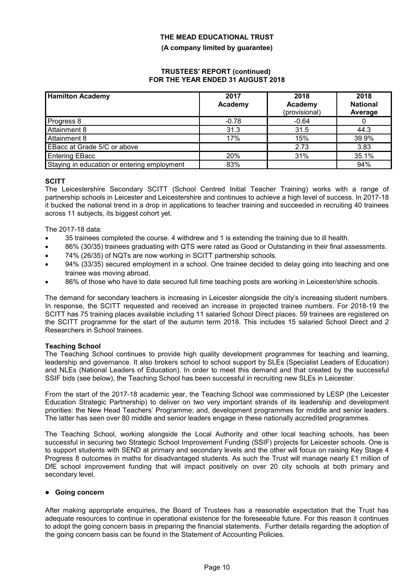**(A company limited by guarantee)**

#### **TRUSTEES' REPORT (continued) FOR THE YEAR ENDED 31 AUGUST 2018**

| <b>Hamilton Academy</b>                     | 2017<br>Academy | 2018<br>Academy<br>(provisional) | 2018<br><b>National</b><br>Average |
|---------------------------------------------|-----------------|----------------------------------|------------------------------------|
| Progress 8                                  | $-0.78$         | $-0.64$                          |                                    |
| Attainment 8                                | 31.3            | 31.5                             | 44.3                               |
| Attainment 8                                | 17%             | 15%                              | 39.9%                              |
| EBacc at Grade 5/C or above                 |                 | 2.73                             | 3.83                               |
| Entering EBacc                              | 20%             | 31%                              | 35.1%                              |
| Staying in education or entering employment | 83%             |                                  | 94%                                |

## **SCITT**

The Leicestershire Secondary SCITT (School Centred Initial Teacher Training) works with a range of partnership schools in Leicester and Leicestershire and continues to achieve a high level of success. In 2017-18 it bucked the national trend in a drop in applications to teacher training and succeeded in recruiting 40 trainees across 11 subjects, its biggest cohort yet.

The 2017-18 data:

- 35 trainees completed the course. 4 withdrew and 1 is extending the training due to ill health.
- 86% (30/35) trainees graduating with QTS were rated as Good or Outstanding in their final assessments.
- 74% (26/35) of NQTs are now working in SCITT partnership schools.
- 94% (33/35) secured employment in a school. One trainee decided to delay going into teaching and one trainee was moving abroad.
- 86% of those who have to date secured full time teaching posts are working in Leicester/shire schools.

The demand for secondary teachers is increasing in Leicester alongside the city's increasing student numbers. In response, the SCITT requested and received an increase in projected trainee numbers. For 2018-19 the SCITT has 75 training places available including 11 salaried School Direct places. 59 trainees are registered on the SCITT programme for the start of the autumn term 2018. This includes 15 salaried School Direct and 2 Researchers in School trainees.

#### **Teaching School**

The Teaching School continues to provide high quality development programmes for teaching and learning, leadership and governance. It also brokers school to school support by SLEs (Specialist Leaders of Education) and NLEs (National Leaders of Education). In order to meet this demand and that created by the successful SSIF bids (see below), the Teaching School has been successful in recruiting new SLEs in Leicester.

From the start of the 2017-18 academic year, the Teaching School was commissioned by LESP (the Leicester Education Strategic Partnership) to deliver on two very important strands of its leadership and development priorities: the New Head Teachers' Programme; and, development programmes for middle and senior leaders. The latter has seen over 80 middle and senior leaders engage in these nationally accredited programmes.

The Teaching School, working alongside the Local Authority and other local teaching schools, has been successful in securing two Strategic School Improvement Funding (SSIF) projects for Leicester schools. One is to support students with SEND at primary and secondary levels and the other will focus on raising Key Stage 4 Progress 8 outcomes in maths for disadvantaged students. As such the Trust will manage nearly £1 million of DfE school improvement funding that will impact positively on over 20 city schools at both primary and secondary level.

## **Going concern**

After making appropriate enquiries, the Board of Trustees has a reasonable expectation that the Trust has adequate resources to continue in operational existence for the foreseeable future. For this reason it continues to adopt the going concern basis in preparing the financial statements. Further details regarding the adoption of the going concern basis can be found in the Statement of Accounting Policies.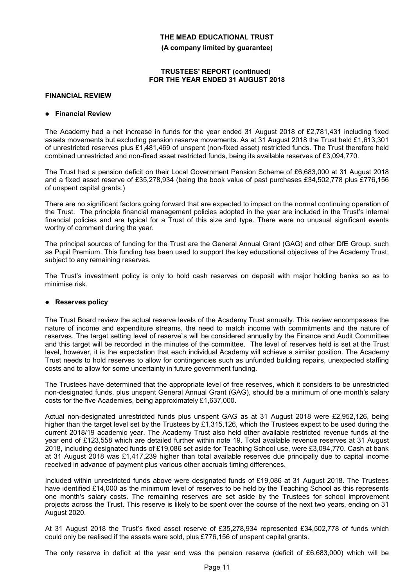**(A company limited by guarantee)**

#### **TRUSTEES' REPORT (continued) FOR THE YEAR ENDED 31 AUGUST 2018**

### **FINANCIAL REVIEW**

#### **Financial Review**

The Academy had a net increase in funds for the year ended 31 August 2018 of £2,781,431 including fixed assets movements but excluding pension reserve movements. As at 31 August 2018 the Trust held £1,613,301 of unrestricted reserves plus £1,481,469 of unspent (non-fixed asset) restricted funds. The Trust therefore held combined unrestricted and non-fixed asset restricted funds, being its available reserves of £3,094,770.

The Trust had a pension deficit on their Local Government Pension Scheme of £6,683,000 at 31 August 2018 and a fixed asset reserve of £35,278,934 (being the book value of past purchases £34,502,778 plus £776,156 of unspent capital grants.)

There are no significant factors going forward that are expected to impact on the normal continuing operation of the Trust. The principle financial management policies adopted in the year are included in the Trust's internal financial policies and are typical for a Trust of this size and type. There were no unusual significant events worthy of comment during the year.

The principal sources of funding for the Trust are the General Annual Grant (GAG) and other DfE Group, such as Pupil Premium. This funding has been used to support the key educational objectives of the Academy Trust, subject to any remaining reserves.

The Trust's investment policy is only to hold cash reserves on deposit with major holding banks so as to minimise risk.

## **Reserves policy**

The Trust Board review the actual reserve levels of the Academy Trust annually. This review encompasses the nature of income and expenditure streams, the need to match income with commitments and the nature of reserves. The target setting level of reserve`s will be considered annually by the Finance and Audit Committee and this target will be recorded in the minutes of the committee. The level of reserves held is set at the Trust level, however, it is the expectation that each individual Academy will achieve a similar position. The Academy Trust needs to hold reserves to allow for contingencies such as unfunded building repairs, unexpected staffing costs and to allow for some uncertainty in future government funding.

The Trustees have determined that the appropriate level of free reserves, which it considers to be unrestricted non-designated funds, plus unspent General Annual Grant (GAG), should be a minimum of one month's salary costs for the five Academies, being approximately £1,637,000.

Actual non-designated unrestricted funds plus unspent GAG as at 31 August 2018 were £2,952,126, being higher than the target level set by the Trustees by £1,315,126, which the Trustees expect to be used during the current 2018/19 academic year. The Academy Trust also held other available restricted revenue funds at the year end of £123,558 which are detailed further within note 19. Total available revenue reserves at 31 August 2018, including designated funds of £19,086 set aside for Teaching School use, were £3,094,770. Cash at bank at 31 August 2018 was £1,417,239 higher than total available reserves due principally due to capital income received in advance of payment plus various other accruals timing differences.

Included within unrestricted funds above were designated funds of £19,086 at 31 August 2018. The Trustees have identified £14,000 as the minimum level of reserves to be held by the Teaching School as this represents one month's salary costs. The remaining reserves are set aside by the Trustees for school improvement projects across the Trust. This reserve is likely to be spent over the course of the next two years, ending on 31 August 2020.

At 31 August 2018 the Trust's fixed asset reserve of £35,278,934 represented £34,502,778 of funds which could only be realised if the assets were sold, plus £776,156 of unspent capital grants.

The only reserve in deficit at the year end was the pension reserve (deficit of £6,683,000) which will be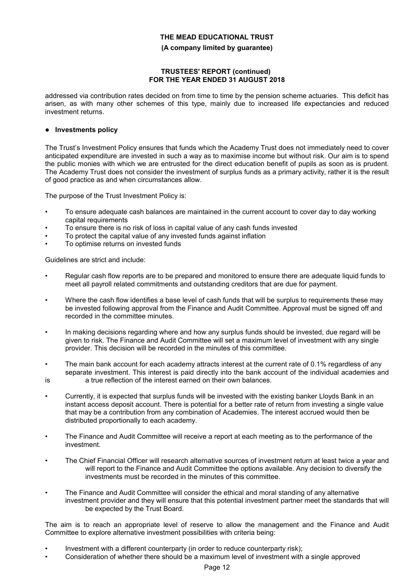#### **(A company limited by guarantee)**

#### **TRUSTEES' REPORT (continued) FOR THE YEAR ENDED 31 AUGUST 2018**

addressed via contribution rates decided on from time to time by the pension scheme actuaries. This deficit has arisen, as with many other schemes of this type, mainly due to increased life expectancies and reduced investment returns.

### **Investments policy**

The Trust's Investment Policy ensures that funds which the Academy Trust does not immediately need to cover anticipated expenditure are invested in such a way as to maximise income but without risk. Our aim is to spend the public monies with which we are entrusted for the direct education benefit of pupils as soon as is prudent. The Academy Trust does not consider the investment of surplus funds as a primary activity, rather it is the result of good practice as and when circumstances allow.

The purpose of the Trust Investment Policy is:

- To ensure adequate cash balances are maintained in the current account to cover day to day working capital requirements
- To ensure there is no risk of loss in capital value of any cash funds invested
- To protect the capital value of any invested funds against inflation
- To optimise returns on invested funds

Guidelines are strict and include:

- Regular cash flow reports are to be prepared and monitored to ensure there are adequate liquid funds to meet all payroll related commitments and outstanding creditors that are due for payment.
- Where the cash flow identifies a base level of cash funds that will be surplus to requirements these may be invested following approval from the Finance and Audit Committee. Approval must be signed off and recorded in the committee minutes.
- In making decisions regarding where and how any surplus funds should be invested, due regard will be given to risk. The Finance and Audit Committee will set a maximum level of investment with any single provider. This decision will be recorded in the minutes of this committee.
- The main bank account for each academy attracts interest at the current rate of 0.1% regardless of any separate investment. This interest is paid directly into the bank account of the individual academies and
- 

is a true reflection of the interest earned on their own balances.

- Currently, it is expected that surplus funds will be invested with the existing banker Lloyds Bank in an instant access deposit account. There is potential for a better rate of return from investing a single value that may be a contribution from any combination of Academies. The interest accrued would then be distributed proportionally to each academy.
- The Finance and Audit Committee will receive a report at each meeting as to the performance of the investment.
- The Chief Financial Officer will research alternative sources of investment return at least twice a year and will report to the Finance and Audit Committee the options available. Any decision to diversify the investments must be recorded in the minutes of this committee.
- The Finance and Audit Committee will consider the ethical and moral standing of any alternative investment provider and they will ensure that this potential investment partner meet the standards that will be expected by the Trust Board.

The aim is to reach an appropriate level of reserve to allow the management and the Finance and Audit Committee to explore alternative investment possibilities with criteria being:

- Investment with a different counterparty (in order to reduce counterparty risk);
- Consideration of whether there should be a maximum level of investment with a single approved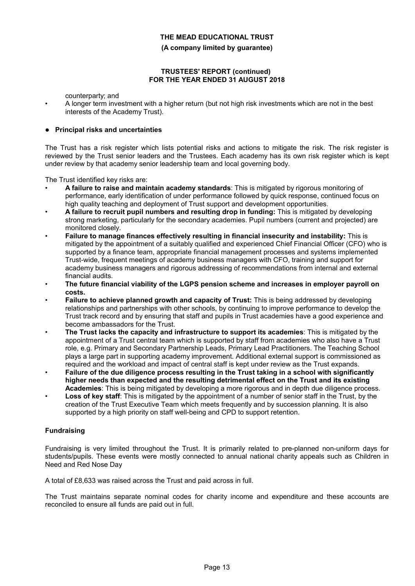**(A company limited by guarantee)**

### **TRUSTEES' REPORT (continued) FOR THE YEAR ENDED 31 AUGUST 2018**

counterparty; and

• A longer term investment with a higher return (but not high risk investments which are not in the best interests of the Academy Trust).

### **Principal risks and uncertainties**

The Trust has a risk register which lists potential risks and actions to mitigate the risk. The risk register is reviewed by the Trust senior leaders and the Trustees. Each academy has its own risk register which is kept under review by that academy senior leadership team and local governing body.

The Trust identified key risks are:

- **A failure to raise and maintain academy standards**: This is mitigated by rigorous monitoring of performance, early identification of under performance followed by quick response, continued focus on high quality teaching and deployment of Trust support and development opportunities.
- **A failure to recruit pupil numbers and resulting drop in funding:** This is mitigated by developing strong marketing, particularly for the secondary academies. Pupil numbers (current and projected) are monitored closely.
- **Failure to manage finances effectively resulting in financial insecurity and instability:** This is mitigated by the appointment of a suitably qualified and experienced Chief Financial Officer (CFO) who is supported by a finance team, appropriate financial management processes and systems implemented Trust-wide, frequent meetings of academy business managers with CFO, training and support for academy business managers and rigorous addressing of recommendations from internal and external financial audits.
- **The future financial viability of the LGPS pension scheme and increases in employer payroll on costs.**
- **Failure to achieve planned growth and capacity of Trust:** This is being addressed by developing relationships and partnerships with other schools, by continuing to improve performance to develop the Trust track record and by ensuring that staff and pupils in Trust academies have a good experience and become ambassadors for the Trust.
- **The Trust lacks the capacity and infrastructure to support its academies**: This is mitigated by the appointment of a Trust central team which is supported by staff from academies who also have a Trust role, e.g. Primary and Secondary Partnership Leads, Primary Lead Practitioners. The Teaching School plays a large part in supporting academy improvement. Additional external support is commissioned as required and the workload and impact of central staff is kept under review as the Trust expands.
- **Failure of the due diligence process resulting in the Trust taking in a school with significantly higher needs than expected and the resulting detrimental effect on the Trust and its existing Academies**: This is being mitigated by developing a more rigorous and in depth due diligence process.
- **Loss of key staff**: This is mitigated by the appointment of a number of senior staff in the Trust, by the creation of the Trust Executive Team which meets frequently and by succession planning. It is also supported by a high priority on staff well-being and CPD to support retention.

## **Fundraising**

Fundraising is very limited throughout the Trust. It is primarily related to pre-planned non-uniform days for students/pupils. These events were mostly connected to annual national charity appeals such as Children in Need and Red Nose Day

A total of £8,633 was raised across the Trust and paid across in full.

The Trust maintains separate nominal codes for charity income and expenditure and these accounts are reconciled to ensure all funds are paid out in full.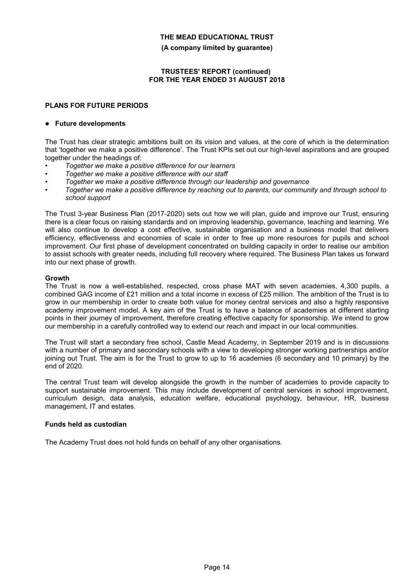**(A company limited by guarantee)**

### **TRUSTEES' REPORT (continued) FOR THE YEAR ENDED 31 AUGUST 2018**

# **PLANS FOR FUTURE PERIODS**

### **Future developments**

The Trust has clear strategic ambitions built on its vision and values, at the core of which is the determination that 'together we make a positive difference'. The Trust KPIs set out our high-level aspirations and are grouped together under the headings of:

- *• Together we make a positive difference for our learners*
- *• Together we make a positive difference with our staff*
- *• Together we make a positive difference through our leadership and governance*
- *• Together we make a positive difference by reaching out to parents, our community and through school to school support*

The Trust 3-year Business Plan (2017-2020) sets out how we will plan, guide and improve our Trust, ensuring there is a clear focus on raising standards and on improving leadership, governance, teaching and learning. We will also continue to develop a cost effective, sustainable organisation and a business model that delivers efficiency, effectiveness and economies of scale in order to free up more resources for pupils and school improvement. Our first phase of development concentrated on building capacity in order to realise our ambition to assist schools with greater needs, including full recovery where required. The Business Plan takes us forward into our next phase of growth.

### **Growth**

The Trust is now a well-established, respected, cross phase MAT with seven academies, 4,300 pupils, a combined GAG income of £21 million and a total income in excess of £25 million. The ambition of the Trust is to grow in our membership in order to create both value for money central services and also a highly responsive academy improvement model. A key aim of the Trust is to have a balance of academies at different starting points in their journey of improvement, therefore creating effective capacity for sponsorship. We intend to grow our membership in a carefully controlled way to extend our reach and impact in our local communities.

The Trust will start a secondary free school, Castle Mead Academy, in September 2019 and is in discussions with a number of primary and secondary schools with a view to developing stronger working partnerships and/or joining out Trust. The aim is for the Trust to grow to up to 16 academies (6 secondary and 10 primary) by the end of 2020.

The central Trust team will develop alongside the growth in the number of academies to provide capacity to support sustainable improvement. This may include development of central services in school improvement, curriculum design, data analysis, education welfare, educational psychology, behaviour, HR, business management, IT and estates.

#### **Funds held as custodian**

The Academy Trust does not hold funds on behalf of any other organisations.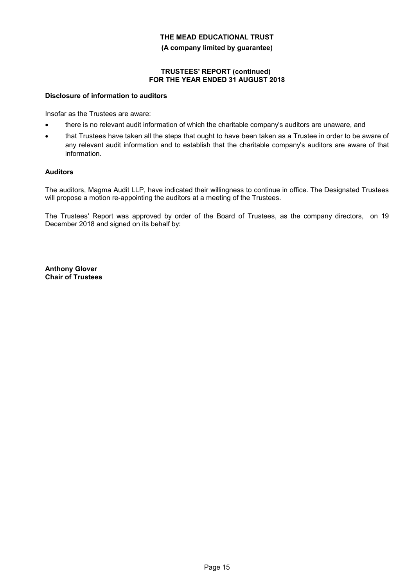**(A company limited by guarantee)**

### **TRUSTEES' REPORT (continued) FOR THE YEAR ENDED 31 AUGUST 2018**

### **Disclosure of information to auditors**

Insofar as the Trustees are aware:

- there is no relevant audit information of which the charitable company's auditors are unaware, and
- that Trustees have taken all the steps that ought to have been taken as a Trustee in order to be aware of any relevant audit information and to establish that the charitable company's auditors are aware of that information.

### **Auditors**

The auditors, Magma Audit LLP, have indicated their willingness to continue in office. The Designated Trustees will propose a motion re-appointing the auditors at a meeting of the Trustees.

The Trustees' Report was approved by order of the Board of Trustees, as the company directors, on 19 December 2018 and signed on its behalf by:

**Anthony Glover Chair of Trustees**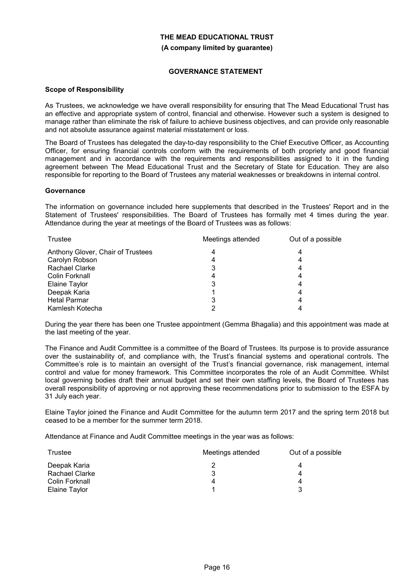# **THE MEAD EDUCATIONAL TRUST (A company limited by guarantee)**

### **GOVERNANCE STATEMENT**

#### **Scope of Responsibility**

As Trustees, we acknowledge we have overall responsibility for ensuring that The Mead Educational Trust has an effective and appropriate system of control, financial and otherwise. However such a system is designed to manage rather than eliminate the risk of failure to achieve business objectives, and can provide only reasonable and not absolute assurance against material misstatement or loss.

The Board of Trustees has delegated the day-to-day responsibility to the Chief Executive Officer, as Accounting Officer, for ensuring financial controls conform with the requirements of both propriety and good financial management and in accordance with the requirements and responsibilities assigned to it in the funding agreement between The Mead Educational Trust and the Secretary of State for Education. They are also responsible for reporting to the Board of Trustees any material weaknesses or breakdowns in internal control.

### **Governance**

The information on governance included here supplements that described in the Trustees' Report and in the Statement of Trustees' responsibilities. The Board of Trustees has formally met 4 times during the year. Attendance during the year at meetings of the Board of Trustees was as follows:

| Trustee                           | Meetings attended | Out of a possible |
|-----------------------------------|-------------------|-------------------|
| Anthony Glover, Chair of Trustees |                   |                   |
| Carolyn Robson                    |                   |                   |
| <b>Rachael Clarke</b>             | 3                 |                   |
| Colin Forknall                    |                   |                   |
| Elaine Taylor                     | 3                 |                   |
| Deepak Karia                      |                   |                   |
| <b>Hetal Parmar</b>               | 3                 |                   |
| Kamlesh Kotecha                   | ◠                 |                   |

During the year there has been one Trustee appointment (Gemma Bhagalia) and this appointment was made at the last meeting of the year.

The Finance and Audit Committee is a committee of the Board of Trustees. Its purpose is to provide assurance over the sustainability of, and compliance with, the Trust's financial systems and operational controls. The Committee's role is to maintain an oversight of the Trust's financial governance, risk management, internal control and value for money framework. This Committee incorporates the role of an Audit Committee. Whilst local governing bodies draft their annual budget and set their own staffing levels, the Board of Trustees has overall responsibility of approving or not approving these recommendations prior to submission to the ESFA by 31 July each year.

Elaine Taylor joined the Finance and Audit Committee for the autumn term 2017 and the spring term 2018 but ceased to be a member for the summer term 2018.

Attendance at Finance and Audit Committee meetings in the year was as follows:

| Trustee        | Meetings attended | Out of a possible |
|----------------|-------------------|-------------------|
| Deepak Karia   |                   |                   |
| Rachael Clarke |                   |                   |
| Colin Forknall |                   |                   |
| Elaine Taylor  |                   |                   |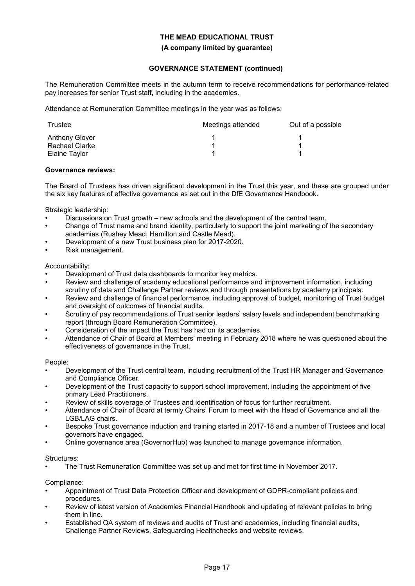#### **(A company limited by guarantee)**

# **GOVERNANCE STATEMENT (continued)**

The Remuneration Committee meets in the autumn term to receive recommendations for performance-related pay increases for senior Trust staff, including in the academies.

Attendance at Remuneration Committee meetings in the year was as follows:

| Trustee        | Meetings attended | Out of a possible |
|----------------|-------------------|-------------------|
| Anthony Glover |                   |                   |
| Rachael Clarke |                   |                   |
| Elaine Taylor  |                   |                   |

### **Governance reviews:**

The Board of Trustees has driven significant development in the Trust this year, and these are grouped under the six key features of effective governance as set out in the DfE Governance Handbook.

Strategic leadership:

- Discussions on Trust growth new schools and the development of the central team.
- Change of Trust name and brand identity, particularly to support the joint marketing of the secondary academies (Rushey Mead, Hamilton and Castle Mead).
- Development of a new Trust business plan for 2017-2020.
- Risk management.

### Accountability:

- Development of Trust data dashboards to monitor key metrics.
- Review and challenge of academy educational performance and improvement information, including scrutiny of data and Challenge Partner reviews and through presentations by academy principals.
- Review and challenge of financial performance, including approval of budget, monitoring of Trust budget and oversight of outcomes of financial audits.
- Scrutiny of pay recommendations of Trust senior leaders' salary levels and independent benchmarking report (through Board Remuneration Committee).
- Consideration of the impact the Trust has had on its academies.
- Attendance of Chair of Board at Members' meeting in February 2018 where he was questioned about the effectiveness of governance in the Trust.

## People:

- Development of the Trust central team, including recruitment of the Trust HR Manager and Governance and Compliance Officer.
- Development of the Trust capacity to support school improvement, including the appointment of five primary Lead Practitioners.
- Review of skills coverage of Trustees and identification of focus for further recruitment.
- Attendance of Chair of Board at termly Chairs' Forum to meet with the Head of Governance and all the LGB/LAG chairs.
- Bespoke Trust governance induction and training started in 2017-18 and a number of Trustees and local governors have engaged.
- Online governance area (GovernorHub) was launched to manage governance information.

## Structures:

• The Trust Remuneration Committee was set up and met for first time in November 2017.

Compliance:

- Appointment of Trust Data Protection Officer and development of GDPR-compliant policies and procedures.
- Review of latest version of Academies Financial Handbook and updating of relevant policies to bring them in line.
- Established QA system of reviews and audits of Trust and academies, including financial audits, Challenge Partner Reviews, Safeguarding Healthchecks and website reviews.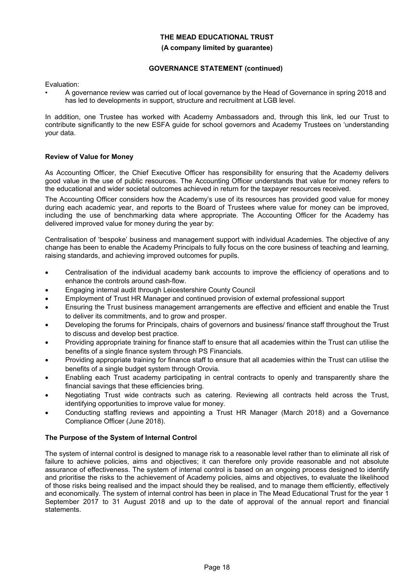#### **(A company limited by guarantee)**

# **GOVERNANCE STATEMENT (continued)**

Evaluation:

• A governance review was carried out of local governance by the Head of Governance in spring 2018 and has led to developments in support, structure and recruitment at LGB level.

In addition, one Trustee has worked with Academy Ambassadors and, through this link, led our Trust to contribute significantly to the new ESFA guide for school governors and Academy Trustees on 'understanding your data.

## **Review of Value for Money**

As Accounting Officer, the Chief Executive Officer has responsibility for ensuring that the Academy delivers good value in the use of public resources. The Accounting Officer understands that value for money refers to the educational and wider societal outcomes achieved in return for the taxpayer resources received.

The Accounting Officer considers how the Academy's use of its resources has provided good value for money during each academic year, and reports to the Board of Trustees where value for money can be improved, including the use of benchmarking data where appropriate. The Accounting Officer for the Academy has delivered improved value for money during the year by:

Centralisation of 'bespoke' business and management support with individual Academies. The objective of any change has been to enable the Academy Principals to fully focus on the core business of teaching and learning, raising standards, and achieving improved outcomes for pupils.

- Centralisation of the individual academy bank accounts to improve the efficiency of operations and to enhance the controls around cash-flow.
- Engaging internal audit through Leicestershire County Council
- Employment of Trust HR Manager and continued provision of external professional support
- Ensuring the Trust business management arrangements are effective and efficient and enable the Trust to deliver its commitments, and to grow and prosper.
- Developing the forums for Principals, chairs of governors and business/ finance staff throughout the Trust to discuss and develop best practice.
- Providing appropriate training for finance staff to ensure that all academies within the Trust can utilise the benefits of a single finance system through PS Financials.
- Providing appropriate training for finance staff to ensure that all academies within the Trust can utilise the benefits of a single budget system through Orovia.
- Enabling each Trust academy participating in central contracts to openly and transparently share the financial savings that these efficiencies bring.
- Negotiating Trust wide contracts such as catering. Reviewing all contracts held across the Trust, identifying opportunities to improve value for money.
- Conducting staffing reviews and appointing a Trust HR Manager (March 2018) and a Governance Compliance Officer (June 2018).

## **The Purpose of the System of Internal Control**

The system of internal control is designed to manage risk to a reasonable level rather than to eliminate all risk of failure to achieve policies, aims and objectives; it can therefore only provide reasonable and not absolute assurance of effectiveness. The system of internal control is based on an ongoing process designed to identify and prioritise the risks to the achievement of Academy policies, aims and objectives, to evaluate the likelihood of those risks being realised and the impact should they be realised, and to manage them efficiently, effectively and economically. The system of internal control has been in place in The Mead Educational Trust for the year 1 September 2017 to 31 August 2018 and up to the date of approval of the annual report and financial statements.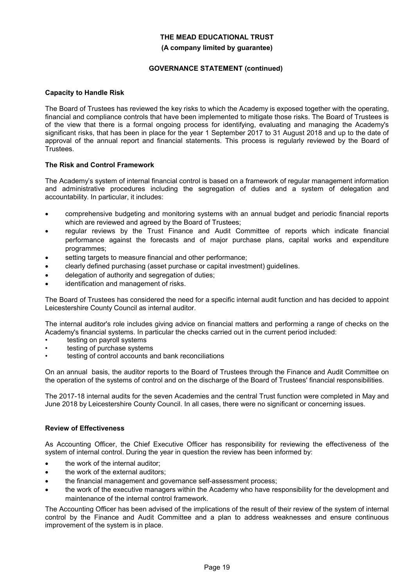#### **(A company limited by guarantee)**

## **GOVERNANCE STATEMENT (continued)**

### **Capacity to Handle Risk**

The Board of Trustees has reviewed the key risks to which the Academy is exposed together with the operating, financial and compliance controls that have been implemented to mitigate those risks. The Board of Trustees is of the view that there is a formal ongoing process for identifying, evaluating and managing the Academy's significant risks, that has been in place for the year 1 September 2017 to 31 August 2018 and up to the date of approval of the annual report and financial statements. This process is regularly reviewed by the Board of Trustees.

### **The Risk and Control Framework**

The Academy's system of internal financial control is based on a framework of regular management information and administrative procedures including the segregation of duties and a system of delegation and accountability. In particular, it includes:

- comprehensive budgeting and monitoring systems with an annual budget and periodic financial reports which are reviewed and agreed by the Board of Trustees;
- regular reviews by the Trust Finance and Audit Committee of reports which indicate financial performance against the forecasts and of major purchase plans, capital works and expenditure programmes;
- setting targets to measure financial and other performance;
- clearly defined purchasing (asset purchase or capital investment) guidelines.
- delegation of authority and segregation of duties;
- identification and management of risks.

The Board of Trustees has considered the need for a specific internal audit function and has decided to appoint Leicestershire County Council as internal auditor.

The internal auditor's role includes giving advice on financial matters and performing a range of checks on the Academy's financial systems. In particular the checks carried out in the current period included:

- testing on payroll systems
- testing of purchase systems
- testing of control accounts and bank reconciliations

On an annual basis, the auditor reports to the Board of Trustees through the Finance and Audit Committee on the operation of the systems of control and on the discharge of the Board of Trustees' financial responsibilities.

The 2017-18 internal audits for the seven Academies and the central Trust function were completed in May and June 2018 by Leicestershire County Council. In all cases, there were no significant or concerning issues.

#### **Review of Effectiveness**

As Accounting Officer, the Chief Executive Officer has responsibility for reviewing the effectiveness of the system of internal control. During the year in question the review has been informed by:

- the work of the internal auditor;
- the work of the external auditors;
- the financial management and governance self-assessment process;
- the work of the executive managers within the Academy who have responsibility for the development and maintenance of the internal control framework.

The Accounting Officer has been advised of the implications of the result of their review of the system of internal control by the Finance and Audit Committee and a plan to address weaknesses and ensure continuous improvement of the system is in place.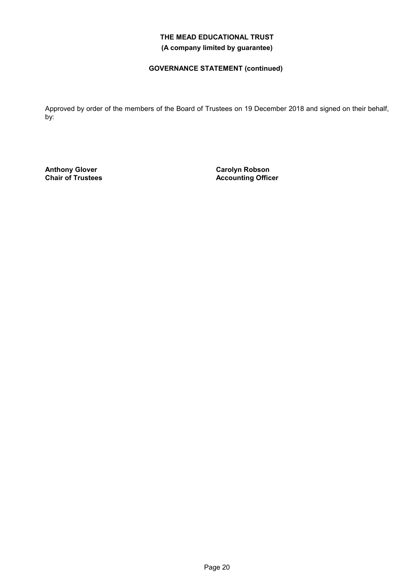# **THE MEAD EDUCATIONAL TRUST (A company limited by guarantee)**

# **GOVERNANCE STATEMENT (continued)**

Approved by order of the members of the Board of Trustees on 19 December 2018 and signed on their behalf, by:

**Anthony Glover Chair of Trustees** **Carolyn Robson Accounting Officer**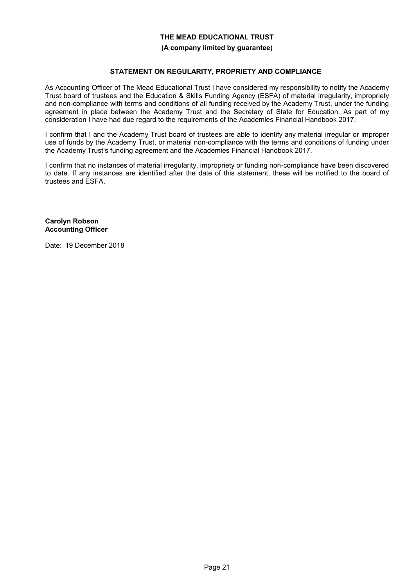#### **(A company limited by guarantee)**

### **STATEMENT ON REGULARITY, PROPRIETY AND COMPLIANCE**

As Accounting Officer of The Mead Educational Trust I have considered my responsibility to notify the Academy Trust board of trustees and the Education & Skills Funding Agency (ESFA) of material irregularity, impropriety and non-compliance with terms and conditions of all funding received by the Academy Trust, under the funding agreement in place between the Academy Trust and the Secretary of State for Education. As part of my consideration I have had due regard to the requirements of the Academies Financial Handbook 2017.

I confirm that I and the Academy Trust board of trustees are able to identify any material irregular or improper use of funds by the Academy Trust, or material non-compliance with the terms and conditions of funding under the Academy Trust's funding agreement and the Academies Financial Handbook 2017.

I confirm that no instances of material irregularity, impropriety or funding non-compliance have been discovered to date. If any instances are identified after the date of this statement, these will be notified to the board of trustees and ESFA.

**Carolyn Robson Accounting Officer**

Date: 19 December 2018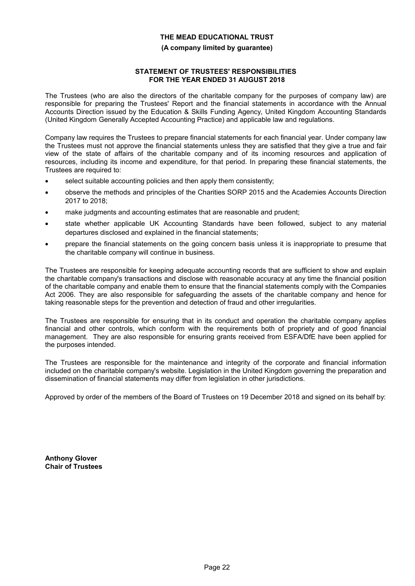### **(A company limited by guarantee)**

#### **STATEMENT OF TRUSTEES' RESPONSIBILITIES FOR THE YEAR ENDED 31 AUGUST 2018**

The Trustees (who are also the directors of the charitable company for the purposes of company law) are responsible for preparing the Trustees' Report and the financial statements in accordance with the Annual Accounts Direction issued by the Education & Skills Funding Agency, United Kingdom Accounting Standards (United Kingdom Generally Accepted Accounting Practice) and applicable law and regulations.

Company law requires the Trustees to prepare financial statements for each financial year. Under company law the Trustees must not approve the financial statements unless they are satisfied that they give a true and fair view of the state of affairs of the charitable company and of its incoming resources and application of resources, including its income and expenditure, for that period. In preparing these financial statements, the Trustees are required to:

- select suitable accounting policies and then apply them consistently;
- observe the methods and principles of the Charities SORP 2015 and the Academies Accounts Direction 2017 to 2018;
- make judgments and accounting estimates that are reasonable and prudent;
- state whether applicable UK Accounting Standards have been followed, subject to any material departures disclosed and explained in the financial statements;
- prepare the financial statements on the going concern basis unless it is inappropriate to presume that the charitable company will continue in business.

The Trustees are responsible for keeping adequate accounting records that are sufficient to show and explain the charitable company's transactions and disclose with reasonable accuracy at any time the financial position of the charitable company and enable them to ensure that the financial statements comply with the Companies Act 2006. They are also responsible for safeguarding the assets of the charitable company and hence for taking reasonable steps for the prevention and detection of fraud and other irregularities.

The Trustees are responsible for ensuring that in its conduct and operation the charitable company applies financial and other controls, which conform with the requirements both of propriety and of good financial management. They are also responsible for ensuring grants received from ESFA/DfE have been applied for the purposes intended.

The Trustees are responsible for the maintenance and integrity of the corporate and financial information included on the charitable company's website. Legislation in the United Kingdom governing the preparation and dissemination of financial statements may differ from legislation in other jurisdictions.

Approved by order of the members of the Board of Trustees on 19 December 2018 and signed on its behalf by:

**Anthony Glover Chair of Trustees**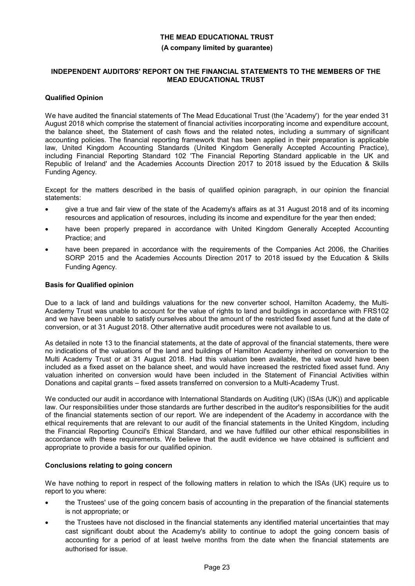### **(A company limited by guarantee)**

#### **INDEPENDENT AUDITORS' REPORT ON THE FINANCIAL STATEMENTS TO THE MEMBERS OF THE MEAD EDUCATIONAL TRUST**

### **Qualified Opinion**

We have audited the financial statements of The Mead Educational Trust (the 'Academy') for the year ended 31 August 2018 which comprise the statement of financial activities incorporating income and expenditure account, the balance sheet, the Statement of cash flows and the related notes, including a summary of significant accounting policies. The financial reporting framework that has been applied in their preparation is applicable law, United Kingdom Accounting Standards (United Kingdom Generally Accepted Accounting Practice), including Financial Reporting Standard 102 'The Financial Reporting Standard applicable in the UK and Republic of Ireland' and the Academies Accounts Direction 2017 to 2018 issued by the Education & Skills Funding Agency.

Except for the matters described in the basis of qualified opinion paragraph, in our opinion the financial statements:

- give a true and fair view of the state of the Academy's affairs as at 31 August 2018 and of its incoming resources and application of resources, including its income and expenditure for the year then ended;
- have been properly prepared in accordance with United Kingdom Generally Accepted Accounting Practice; and
- have been prepared in accordance with the requirements of the Companies Act 2006, the Charities SORP 2015 and the Academies Accounts Direction 2017 to 2018 issued by the Education & Skills Funding Agency.

### **Basis for Qualified opinion**

Due to a lack of land and buildings valuations for the new converter school, Hamilton Academy, the Multi-Academy Trust was unable to account for the value of rights to land and buildings in accordance with FRS102 and we have been unable to satisfy ourselves about the amount of the restricted fixed asset fund at the date of conversion, or at 31 August 2018. Other alternative audit procedures were not available to us.

As detailed in note 13 to the financial statements, at the date of approval of the financial statements, there were no indications of the valuations of the land and buildings of Hamilton Academy inherited on conversion to the Multi Academy Trust or at 31 August 2018. Had this valuation been available, the value would have been included as a fixed asset on the balance sheet, and would have increased the restricted fixed asset fund. Any valuation inherited on conversion would have been included in the Statement of Financial Activities within Donations and capital grants – fixed assets transferred on conversion to a Multi-Academy Trust.

We conducted our audit in accordance with International Standards on Auditing (UK) (ISAs (UK)) and applicable law. Our responsibilities under those standards are further described in the auditor's responsibilities for the audit of the financial statements section of our report. We are independent of the Academy in accordance with the ethical requirements that are relevant to our audit of the financial statements in the United Kingdom, including the Financial Reporting Council's Ethical Standard, and we have fulfilled our other ethical responsibilities in accordance with these requirements. We believe that the audit evidence we have obtained is sufficient and appropriate to provide a basis for our qualified opinion.

#### **Conclusions relating to going concern**

We have nothing to report in respect of the following matters in relation to which the ISAs (UK) require us to report to you where:

- the Trustees' use of the going concern basis of accounting in the preparation of the financial statements is not appropriate; or
- the Trustees have not disclosed in the financial statements any identified material uncertainties that may cast significant doubt about the Academy's ability to continue to adopt the going concern basis of accounting for a period of at least twelve months from the date when the financial statements are authorised for issue.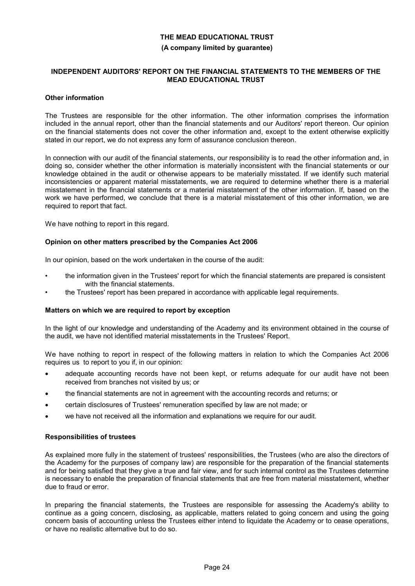#### **(A company limited by guarantee)**

#### **INDEPENDENT AUDITORS' REPORT ON THE FINANCIAL STATEMENTS TO THE MEMBERS OF THE MEAD EDUCATIONAL TRUST**

#### **Other information**

The Trustees are responsible for the other information. The other information comprises the information included in the annual report, other than the financial statements and our Auditors' report thereon. Our opinion on the financial statements does not cover the other information and, except to the extent otherwise explicitly stated in our report, we do not express any form of assurance conclusion thereon.

In connection with our audit of the financial statements, our responsibility is to read the other information and, in doing so, consider whether the other information is materially inconsistent with the financial statements or our knowledge obtained in the audit or otherwise appears to be materially misstated. If we identify such material inconsistencies or apparent material misstatements, we are required to determine whether there is a material misstatement in the financial statements or a material misstatement of the other information. If, based on the work we have performed, we conclude that there is a material misstatement of this other information, we are required to report that fact.

We have nothing to report in this regard.

### **Opinion on other matters prescribed by the Companies Act 2006**

In our opinion, based on the work undertaken in the course of the audit:

- the information given in the Trustees' report for which the financial statements are prepared is consistent with the financial statements.
- the Trustees' report has been prepared in accordance with applicable legal requirements.

#### **Matters on which we are required to report by exception**

In the light of our knowledge and understanding of the Academy and its environment obtained in the course of the audit, we have not identified material misstatements in the Trustees' Report.

We have nothing to report in respect of the following matters in relation to which the Companies Act 2006 requires us to report to you if, in our opinion:

- adequate accounting records have not been kept, or returns adequate for our audit have not been received from branches not visited by us; or
- the financial statements are not in agreement with the accounting records and returns; or
- certain disclosures of Trustees' remuneration specified by law are not made; or
- we have not received all the information and explanations we require for our audit.

#### **Responsibilities of trustees**

As explained more fully in the statement of trustees' responsibilities, the Trustees (who are also the directors of the Academy for the purposes of company law) are responsible for the preparation of the financial statements and for being satisfied that they give a true and fair view, and for such internal control as the Trustees determine is necessary to enable the preparation of financial statements that are free from material misstatement, whether due to fraud or error.

In preparing the financial statements, the Trustees are responsible for assessing the Academy's ability to continue as a going concern, disclosing, as applicable, matters related to going concern and using the going concern basis of accounting unless the Trustees either intend to liquidate the Academy or to cease operations, or have no realistic alternative but to do so.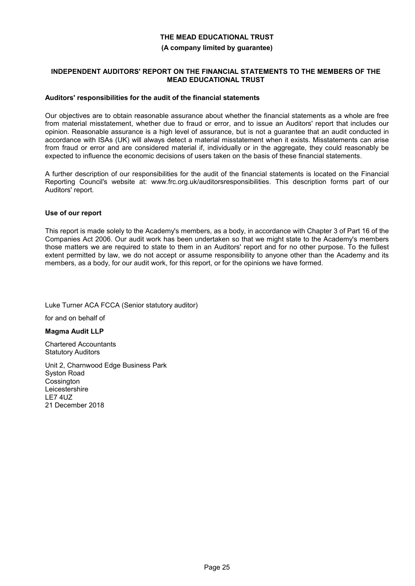#### **(A company limited by guarantee)**

### **INDEPENDENT AUDITORS' REPORT ON THE FINANCIAL STATEMENTS TO THE MEMBERS OF THE MEAD EDUCATIONAL TRUST**

#### **Auditors' responsibilities for the audit of the financial statements**

Our objectives are to obtain reasonable assurance about whether the financial statements as a whole are free from material misstatement, whether due to fraud or error, and to issue an Auditors' report that includes our opinion. Reasonable assurance is a high level of assurance, but is not a guarantee that an audit conducted in accordance with ISAs (UK) will always detect a material misstatement when it exists. Misstatements can arise from fraud or error and are considered material if, individually or in the aggregate, they could reasonably be expected to influence the economic decisions of users taken on the basis of these financial statements.

A further description of our responsibilities for the audit of the financial statements is located on the Financial Reporting Council's website at: www.frc.org.uk/auditorsresponsibilities. This description forms part of our Auditors' report.

### **Use of our report**

This report is made solely to the Academy's members, as a body, in accordance with Chapter 3 of Part 16 of the Companies Act 2006. Our audit work has been undertaken so that we might state to the Academy's members those matters we are required to state to them in an Auditors' report and for no other purpose. To the fullest extent permitted by law, we do not accept or assume responsibility to anyone other than the Academy and its members, as a body, for our audit work, for this report, or for the opinions we have formed.

Luke Turner ACA FCCA (Senior statutory auditor)

for and on behalf of

**Magma Audit LLP**

Chartered Accountants Statutory Auditors

Unit 2, Charnwood Edge Business Park Syston Road **Cossington** Leicestershire LE7 4UZ 21 December 2018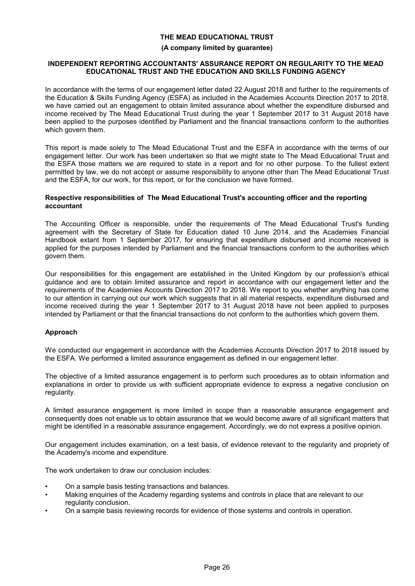#### **(A company limited by guarantee)**

#### **INDEPENDENT REPORTING ACCOUNTANTS' ASSURANCE REPORT ON REGULARITY TO THE MEAD EDUCATIONAL TRUST AND THE EDUCATION AND SKILLS FUNDING AGENCY**

In accordance with the terms of our engagement letter dated 22 August 2018 and further to the requirements of the Education & Skills Funding Agency (ESFA) as included in the Academies Accounts Direction 2017 to 2018, we have carried out an engagement to obtain limited assurance about whether the expenditure disbursed and income received by The Mead Educational Trust during the year 1 September 2017 to 31 August 2018 have been applied to the purposes identified by Parliament and the financial transactions conform to the authorities which govern them.

This report is made solely to The Mead Educational Trust and the ESFA in accordance with the terms of our engagement letter. Our work has been undertaken so that we might state to The Mead Educational Trust and the ESFA those matters we are required to state in a report and for no other purpose. To the fullest extent permitted by law, we do not accept or assume responsibility to anyone other than The Mead Educational Trust and the ESFA, for our work, for this report, or for the conclusion we have formed.

#### **Respective responsibilities of The Mead Educational Trust's accounting officer and the reporting accountant**

The Accounting Officer is responsible, under the requirements of The Mead Educational Trust's funding agreement with the Secretary of State for Education dated 10 June 2014, and the Academies Financial Handbook extant from 1 September 2017, for ensuring that expenditure disbursed and income received is applied for the purposes intended by Parliament and the financial transactions conform to the authorities which govern them.

Our responsibilities for this engagement are established in the United Kingdom by our profession's ethical guidance and are to obtain limited assurance and report in accordance with our engagement letter and the requirements of the Academies Accounts Direction 2017 to 2018. We report to you whether anything has come to our attention in carrying out our work which suggests that in all material respects, expenditure disbursed and income received during the year 1 September 2017 to 31 August 2018 have not been applied to purposes intended by Parliament or that the financial transactions do not conform to the authorities which govern them.

## **Approach**

We conducted our engagement in accordance with the Academies Accounts Direction 2017 to 2018 issued by the ESFA. We performed a limited assurance engagement as defined in our engagement letter.

The objective of a limited assurance engagement is to perform such procedures as to obtain information and explanations in order to provide us with sufficient appropriate evidence to express a negative conclusion on regularity.

A limited assurance engagement is more limited in scope than a reasonable assurance engagement and consequently does not enable us to obtain assurance that we would become aware of all significant matters that might be identified in a reasonable assurance engagement. Accordingly, we do not express a positive opinion.

Our engagement includes examination, on a test basis, of evidence relevant to the regularity and propriety of the Academy's income and expenditure.

The work undertaken to draw our conclusion includes:

- On a sample basis testing transactions and balances.
- Making enquiries of the Academy regarding systems and controls in place that are relevant to our regularity conclusion.
- On a sample basis reviewing records for evidence of those systems and controls in operation.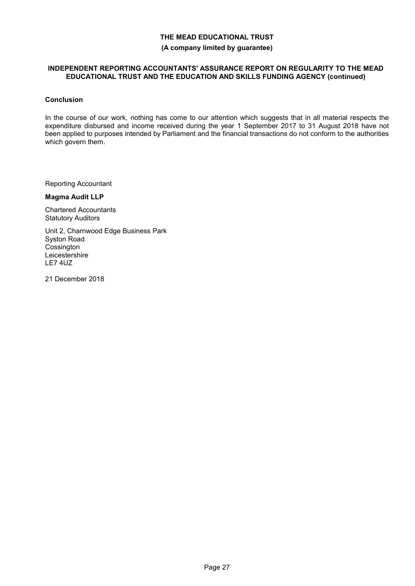# **THE MEAD EDUCATIONAL TRUST (A company limited by guarantee)**

### **INDEPENDENT REPORTING ACCOUNTANTS' ASSURANCE REPORT ON REGULARITY TO THE MEAD EDUCATIONAL TRUST AND THE EDUCATION AND SKILLS FUNDING AGENCY (continued)**

### **Conclusion**

In the course of our work, nothing has come to our attention which suggests that in all material respects the expenditure disbursed and income received during the year 1 September 2017 to 31 August 2018 have not been applied to purposes intended by Parliament and the financial transactions do not conform to the authorities which govern them.

Reporting Accountant

#### **Magma Audit LLP**

Chartered Accountants Statutory Auditors

Unit 2, Charnwood Edge Business Park Syston Road **Cossington** Leicestershire LE7 4UZ

21 December 2018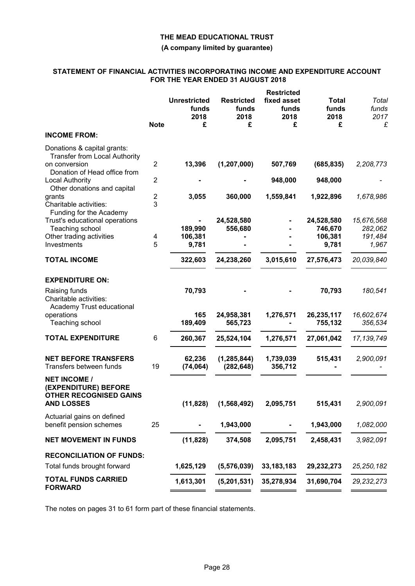### **(A company limited by guarantee)**

### **STATEMENT OF FINANCIAL ACTIVITIES INCORPORATING INCOME AND EXPENDITURE ACCOUNT FOR THE YEAR ENDED 31 AUGUST 2018**

|                                                                                                   |                     |                                           |                                         | <b>Restricted</b>                 |                                           |                                           |
|---------------------------------------------------------------------------------------------------|---------------------|-------------------------------------------|-----------------------------------------|-----------------------------------|-------------------------------------------|-------------------------------------------|
|                                                                                                   | <b>Note</b>         | <b>Unrestricted</b><br>funds<br>2018<br>£ | <b>Restricted</b><br>funds<br>2018<br>£ | fixed asset<br>funds<br>2018<br>£ | <b>Total</b><br>funds<br>2018<br>£        | Total<br>funds<br>2017<br>£               |
| <b>INCOME FROM:</b>                                                                               |                     |                                           |                                         |                                   |                                           |                                           |
| Donations & capital grants:<br><b>Transfer from Local Authority</b><br>on conversion              | $\overline{2}$      | 13,396                                    | (1, 207, 000)                           | 507,769                           | (685, 835)                                | 2,208,773                                 |
| Donation of Head office from<br><b>Local Authority</b><br>Other donations and capital             | 2                   |                                           |                                         | 948,000                           | 948,000                                   |                                           |
| grants<br>Charitable activities:<br>Funding for the Academy                                       | $\overline{2}$<br>3 | 3,055                                     | 360,000                                 | 1,559,841                         | 1,922,896                                 | 1,678,986                                 |
| Trust's educational operations<br>Teaching school<br>Other trading activities<br>Investments      | 4<br>5              | 189,990<br>106,381<br>9,781               | 24,528,580<br>556,680                   |                                   | 24,528,580<br>746,670<br>106,381<br>9,781 | 15,676,568<br>282,062<br>191,484<br>1,967 |
| <b>TOTAL INCOME</b>                                                                               |                     | 322,603                                   | 24,238,260                              | 3,015,610                         | 27,576,473                                | 20,039,840                                |
| <b>EXPENDITURE ON:</b><br>Raising funds<br>Charitable activities:                                 |                     | 70,793                                    |                                         |                                   | 70,793                                    | 180,541                                   |
| Academy Trust educational<br>operations<br>Teaching school                                        |                     | 165<br>189,409                            | 24,958,381<br>565,723                   | 1,276,571                         | 26,235,117<br>755,132                     | 16,602,674<br>356,534                     |
| <b>TOTAL EXPENDITURE</b>                                                                          | 6                   | 260,367                                   | 25,524,104                              | 1,276,571                         | 27,061,042                                | 17, 139, 749                              |
| <b>NET BEFORE TRANSFERS</b><br>Transfers between funds                                            | 19                  | 62,236<br>(74, 064)                       | (1, 285, 844)<br>(282, 648)             | 1,739,039<br>356,712              | 515,431                                   | 2,900,091                                 |
| <b>NET INCOME /</b><br>(EXPENDITURE) BEFORE<br><b>OTHER RECOGNISED GAINS</b><br><b>AND LOSSES</b> |                     | (11, 828)                                 | (1,568,492)                             | 2,095,751                         | 515,431                                   | 2,900,091                                 |
| Actuarial gains on defined<br>benefit pension schemes                                             | 25                  |                                           | 1,943,000                               |                                   | 1,943,000                                 | 1,082,000                                 |
| <b>NET MOVEMENT IN FUNDS</b>                                                                      |                     | (11, 828)                                 | 374,508                                 | 2,095,751                         | 2,458,431                                 | 3,982,091                                 |
| <b>RECONCILIATION OF FUNDS:</b>                                                                   |                     |                                           |                                         |                                   |                                           |                                           |
| Total funds brought forward                                                                       |                     | 1,625,129                                 | (5,576,039)                             | 33, 183, 183                      | 29,232,273                                | 25, 250, 182                              |
| <b>TOTAL FUNDS CARRIED</b><br><b>FORWARD</b>                                                      |                     | 1,613,301                                 | (5,201,531)                             | 35,278,934                        | 31,690,704                                | 29, 232, 273                              |

The notes on pages 31 to 61 form part of these financial statements.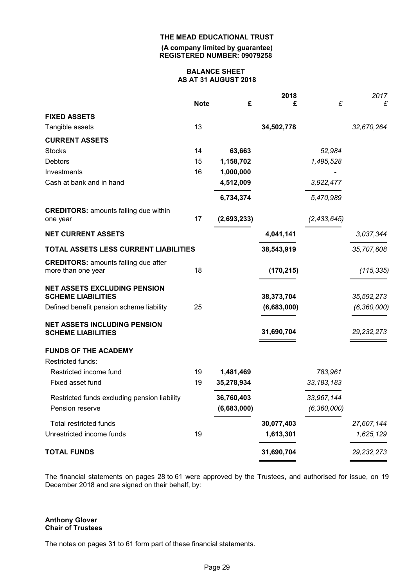**(A company limited by guarantee) REGISTERED NUMBER: 09079258**

#### **BALANCE SHEET AS AT 31 AUGUST 2018**

|                                                                   |             |             | 2018        |               | 2017          |
|-------------------------------------------------------------------|-------------|-------------|-------------|---------------|---------------|
|                                                                   | <b>Note</b> | £           | £           | £             | £             |
| <b>FIXED ASSETS</b>                                               |             |             |             |               |               |
| Tangible assets                                                   | 13          |             | 34,502,778  |               | 32,670,264    |
| <b>CURRENT ASSETS</b>                                             |             |             |             |               |               |
| <b>Stocks</b>                                                     | 14          | 63,663      |             | 52,984        |               |
| <b>Debtors</b>                                                    | 15          | 1,158,702   |             | 1,495,528     |               |
| Investments                                                       | 16          | 1,000,000   |             |               |               |
| Cash at bank and in hand                                          |             | 4,512,009   |             | 3,922,477     |               |
|                                                                   |             | 6,734,374   |             | 5,470,989     |               |
| <b>CREDITORS: amounts falling due within</b>                      |             |             |             |               |               |
| one year                                                          | 17          | (2,693,233) |             | (2, 433, 645) |               |
| <b>NET CURRENT ASSETS</b>                                         |             |             | 4,041,141   |               | 3,037,344     |
| TOTAL ASSETS LESS CURRENT LIABILITIES                             |             |             | 38,543,919  |               | 35,707,608    |
| <b>CREDITORS: amounts falling due after</b><br>more than one year | 18          |             | (170, 215)  |               | (115, 335)    |
| <b>NET ASSETS EXCLUDING PENSION</b>                               |             |             |             |               |               |
| <b>SCHEME LIABILITIES</b>                                         |             |             | 38,373,704  |               | 35,592,273    |
| Defined benefit pension scheme liability                          | 25          |             | (6,683,000) |               | (6, 360, 000) |
| <b>NET ASSETS INCLUDING PENSION</b><br><b>SCHEME LIABILITIES</b>  |             |             | 31,690,704  |               | 29, 232, 273  |
| <b>FUNDS OF THE ACADEMY</b>                                       |             |             |             |               |               |
| Restricted funds:                                                 |             |             |             |               |               |
| Restricted income fund                                            | 19          | 1,481,469   |             | 783,961       |               |
| Fixed asset fund                                                  | 19          | 35,278,934  |             | 33, 183, 183  |               |
| Restricted funds excluding pension liability                      |             | 36,760,403  |             | 33,967,144    |               |
| Pension reserve                                                   |             | (6,683,000) |             | (6, 360, 000) |               |
| <b>Total restricted funds</b>                                     |             |             | 30,077,403  |               | 27,607,144    |
| Unrestricted income funds                                         | 19          |             | 1,613,301   |               | 1,625,129     |
| <b>TOTAL FUNDS</b>                                                |             |             | 31,690,704  |               | 29, 232, 273  |
|                                                                   |             |             |             |               |               |

The financial statements on pages 28 to 61 were approved by the Trustees, and authorised for issue, on 19 December 2018 and are signed on their behalf, by:

#### **Anthony Glover Chair of Trustees**

The notes on pages 31 to 61 form part of these financial statements.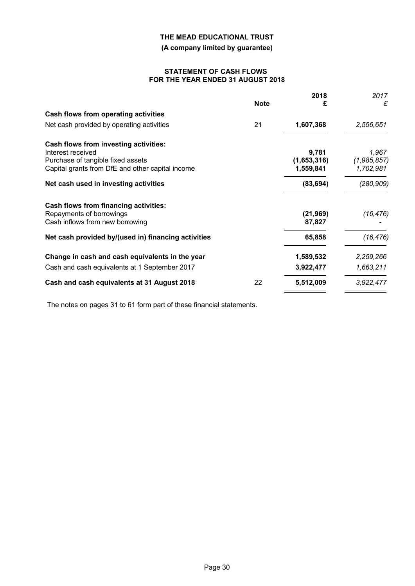**(A company limited by guarantee)**

#### **STATEMENT OF CASH FLOWS FOR THE YEAR ENDED 31 AUGUST 2018**

|    | 2018        | 2017                                        |
|----|-------------|---------------------------------------------|
|    | £           | £                                           |
|    |             |                                             |
| 21 | 1,607,368   | 2,556,651                                   |
|    |             |                                             |
|    |             | 1,967                                       |
|    |             | (1,985,857)                                 |
|    |             | 1,702,981                                   |
|    | (83, 694)   | (280,909)                                   |
|    |             |                                             |
|    | (21, 969)   | (16, 476)                                   |
|    |             |                                             |
|    | 65,858      | (16, 476)                                   |
|    | 1,589,532   | 2,259,266                                   |
|    | 3,922,477   | 1,663,211                                   |
| 22 | 5,512,009   | 3,922,477                                   |
|    | <b>Note</b> | 9,781<br>(1,653,316)<br>1,559,841<br>87,827 |

The notes on pages 31 to 61 form part of these financial statements.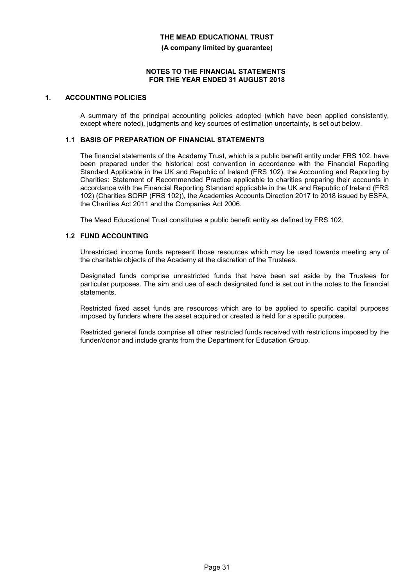**(A company limited by guarantee)**

#### **NOTES TO THE FINANCIAL STATEMENTS FOR THE YEAR ENDED 31 AUGUST 2018**

# **1. ACCOUNTING POLICIES**

A summary of the principal accounting policies adopted (which have been applied consistently, except where noted), judgments and key sources of estimation uncertainty, is set out below.

### **1.1 BASIS OF PREPARATION OF FINANCIAL STATEMENTS**

The financial statements of the Academy Trust, which is a public benefit entity under FRS 102, have been prepared under the historical cost convention in accordance with the Financial Reporting Standard Applicable in the UK and Republic of Ireland (FRS 102), the Accounting and Reporting by Charities: Statement of Recommended Practice applicable to charities preparing their accounts in accordance with the Financial Reporting Standard applicable in the UK and Republic of Ireland (FRS 102) (Charities SORP (FRS 102)), the Academies Accounts Direction 2017 to 2018 issued by ESFA, the Charities Act 2011 and the Companies Act 2006.

The Mead Educational Trust constitutes a public benefit entity as defined by FRS 102.

## **1.2 FUND ACCOUNTING**

Unrestricted income funds represent those resources which may be used towards meeting any of the charitable objects of the Academy at the discretion of the Trustees.

Designated funds comprise unrestricted funds that have been set aside by the Trustees for particular purposes. The aim and use of each designated fund is set out in the notes to the financial statements.

Restricted fixed asset funds are resources which are to be applied to specific capital purposes imposed by funders where the asset acquired or created is held for a specific purpose.

Restricted general funds comprise all other restricted funds received with restrictions imposed by the funder/donor and include grants from the Department for Education Group.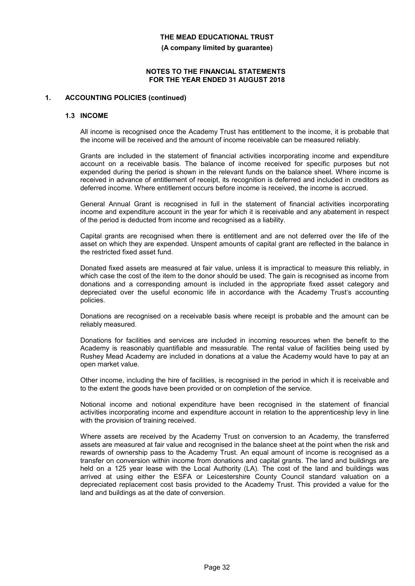**(A company limited by guarantee)**

#### **NOTES TO THE FINANCIAL STATEMENTS FOR THE YEAR ENDED 31 AUGUST 2018**

#### **1. ACCOUNTING POLICIES (continued)**

#### **1.3 INCOME**

All income is recognised once the Academy Trust has entitlement to the income, it is probable that the income will be received and the amount of income receivable can be measured reliably.

Grants are included in the statement of financial activities incorporating income and expenditure account on a receivable basis. The balance of income received for specific purposes but not expended during the period is shown in the relevant funds on the balance sheet. Where income is received in advance of entitlement of receipt, its recognition is deferred and included in creditors as deferred income. Where entitlement occurs before income is received, the income is accrued.

General Annual Grant is recognised in full in the statement of financial activities incorporating income and expenditure account in the year for which it is receivable and any abatement in respect of the period is deducted from income and recognised as a liability.

Capital grants are recognised when there is entitlement and are not deferred over the life of the asset on which they are expended. Unspent amounts of capital grant are reflected in the balance in the restricted fixed asset fund.

Donated fixed assets are measured at fair value, unless it is impractical to measure this reliably, in which case the cost of the item to the donor should be used. The gain is recognised as income from donations and a corresponding amount is included in the appropriate fixed asset category and depreciated over the useful economic life in accordance with the Academy Trust's accounting policies.

Donations are recognised on a receivable basis where receipt is probable and the amount can be reliably measured.

Donations for facilities and services are included in incoming resources when the benefit to the Academy is reasonably quantifiable and measurable. The rental value of facilities being used by Rushey Mead Academy are included in donations at a value the Academy would have to pay at an open market value.

Other income, including the hire of facilities, is recognised in the period in which it is receivable and to the extent the goods have been provided or on completion of the service.

Notional income and notional expenditure have been recognised in the statement of financial activities incorporating income and expenditure account in relation to the apprenticeship levy in line with the provision of training received.

Where assets are received by the Academy Trust on conversion to an Academy, the transferred assets are measured at fair value and recognised in the balance sheet at the point when the risk and rewards of ownership pass to the Academy Trust. An equal amount of income is recognised as a transfer on conversion within income from donations and capital grants. The land and buildings are held on a 125 year lease with the Local Authority (LA). The cost of the land and buildings was arrived at using either the ESFA or Leicestershire County Council standard valuation on a depreciated replacement cost basis provided to the Academy Trust. This provided a value for the land and buildings as at the date of conversion.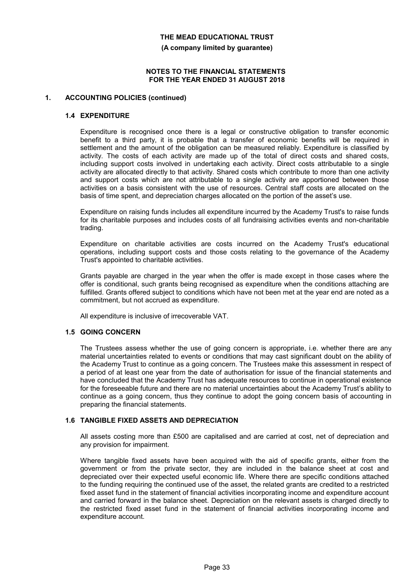**(A company limited by guarantee)**

#### **NOTES TO THE FINANCIAL STATEMENTS FOR THE YEAR ENDED 31 AUGUST 2018**

### **1. ACCOUNTING POLICIES (continued)**

#### **1.4 EXPENDITURE**

Expenditure is recognised once there is a legal or constructive obligation to transfer economic benefit to a third party, it is probable that a transfer of economic benefits will be required in settlement and the amount of the obligation can be measured reliably. Expenditure is classified by activity. The costs of each activity are made up of the total of direct costs and shared costs, including support costs involved in undertaking each activity. Direct costs attributable to a single activity are allocated directly to that activity. Shared costs which contribute to more than one activity and support costs which are not attributable to a single activity are apportioned between those activities on a basis consistent with the use of resources. Central staff costs are allocated on the basis of time spent, and depreciation charges allocated on the portion of the asset's use.

Expenditure on raising funds includes all expenditure incurred by the Academy Trust's to raise funds for its charitable purposes and includes costs of all fundraising activities events and non-charitable trading.

Expenditure on charitable activities are costs incurred on the Academy Trust's educational operations, including support costs and those costs relating to the governance of the Academy Trust's appointed to charitable activities.

Grants payable are charged in the year when the offer is made except in those cases where the offer is conditional, such grants being recognised as expenditure when the conditions attaching are fulfilled. Grants offered subject to conditions which have not been met at the year end are noted as a commitment, but not accrued as expenditure.

All expenditure is inclusive of irrecoverable VAT.

#### **1.5 GOING CONCERN**

The Trustees assess whether the use of going concern is appropriate, i.e. whether there are any material uncertainties related to events or conditions that may cast significant doubt on the ability of the Academy Trust to continue as a going concern. The Trustees make this assessment in respect of a period of at least one year from the date of authorisation for issue of the financial statements and have concluded that the Academy Trust has adequate resources to continue in operational existence for the foreseeable future and there are no material uncertainties about the Academy Trust's ability to continue as a going concern, thus they continue to adopt the going concern basis of accounting in preparing the financial statements.

## **1.6 TANGIBLE FIXED ASSETS AND DEPRECIATION**

All assets costing more than £500 are capitalised and are carried at cost, net of depreciation and any provision for impairment.

Where tangible fixed assets have been acquired with the aid of specific grants, either from the government or from the private sector, they are included in the balance sheet at cost and depreciated over their expected useful economic life. Where there are specific conditions attached to the funding requiring the continued use of the asset, the related grants are credited to a restricted fixed asset fund in the statement of financial activities incorporating income and expenditure account and carried forward in the balance sheet. Depreciation on the relevant assets is charged directly to the restricted fixed asset fund in the statement of financial activities incorporating income and expenditure account.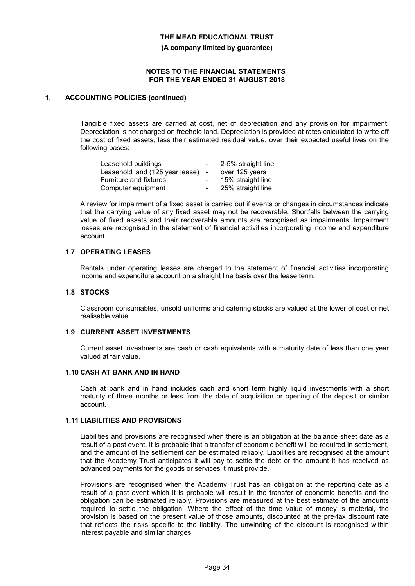**(A company limited by guarantee)**

#### **NOTES TO THE FINANCIAL STATEMENTS FOR THE YEAR ENDED 31 AUGUST 2018**

#### **1. ACCOUNTING POLICIES (continued)**

Tangible fixed assets are carried at cost, net of depreciation and any provision for impairment. Depreciation is not charged on freehold land. Depreciation is provided at rates calculated to write off the cost of fixed assets, less their estimated residual value, over their expected useful lives on the following bases:

| Leasehold buildings             |        | 2-5% straight line |
|---------------------------------|--------|--------------------|
| Leasehold land (125 year lease) | $\sim$ | over 125 years     |
| <b>Furniture and fixtures</b>   |        | 15% straight line  |
| Computer equipment              |        | 25% straight line  |

A review for impairment of a fixed asset is carried out if events or changes in circumstances indicate that the carrying value of any fixed asset may not be recoverable. Shortfalls between the carrying value of fixed assets and their recoverable amounts are recognised as impairments. Impairment losses are recognised in the statement of financial activities incorporating income and expenditure account.

### **1.7 OPERATING LEASES**

Rentals under operating leases are charged to the statement of financial activities incorporating income and expenditure account on a straight line basis over the lease term.

#### **1.8 STOCKS**

Classroom consumables, unsold uniforms and catering stocks are valued at the lower of cost or net realisable value.

#### **1.9 CURRENT ASSET INVESTMENTS**

Current asset investments are cash or cash equivalents with a maturity date of less than one year valued at fair value.

#### **1.10 CASH AT BANK AND IN HAND**

Cash at bank and in hand includes cash and short term highly liquid investments with a short maturity of three months or less from the date of acquisition or opening of the deposit or similar account.

#### **1.11 LIABILITIES AND PROVISIONS**

Liabilities and provisions are recognised when there is an obligation at the balance sheet date as a result of a past event, it is probable that a transfer of economic benefit will be required in settlement, and the amount of the settlement can be estimated reliably. Liabilities are recognised at the amount that the Academy Trust anticipates it will pay to settle the debt or the amount it has received as advanced payments for the goods or services it must provide.

Provisions are recognised when the Academy Trust has an obligation at the reporting date as a result of a past event which it is probable will result in the transfer of economic benefits and the obligation can be estimated reliably. Provisions are measured at the best estimate of the amounts required to settle the obligation. Where the effect of the time value of money is material, the provision is based on the present value of those amounts, discounted at the pre-tax discount rate that reflects the risks specific to the liability. The unwinding of the discount is recognised within interest payable and similar charges.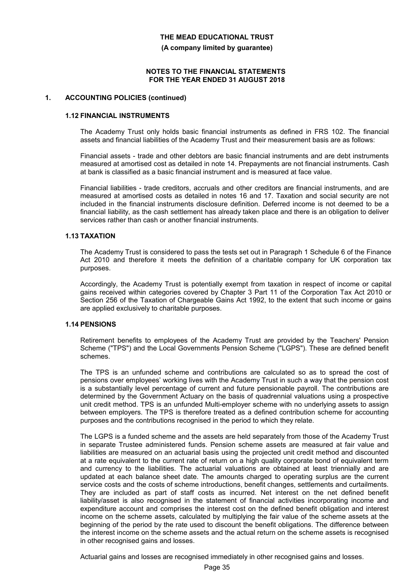**(A company limited by guarantee)**

#### **NOTES TO THE FINANCIAL STATEMENTS FOR THE YEAR ENDED 31 AUGUST 2018**

#### **1. ACCOUNTING POLICIES (continued)**

#### **1.12 FINANCIAL INSTRUMENTS**

The Academy Trust only holds basic financial instruments as defined in FRS 102. The financial assets and financial liabilities of the Academy Trust and their measurement basis are as follows:

Financial assets - trade and other debtors are basic financial instruments and are debt instruments measured at amortised cost as detailed in note 14. Prepayments are not financial instruments. Cash at bank is classified as a basic financial instrument and is measured at face value.

Financial liabilities - trade creditors, accruals and other creditors are financial instruments, and are measured at amortised costs as detailed in notes 16 and 17. Taxation and social security are not included in the financial instruments disclosure definition. Deferred income is not deemed to be a financial liability, as the cash settlement has already taken place and there is an obligation to deliver services rather than cash or another financial instruments.

### **1.13 TAXATION**

The Academy Trust is considered to pass the tests set out in Paragraph 1 Schedule 6 of the Finance Act 2010 and therefore it meets the definition of a charitable company for UK corporation tax purposes.

Accordingly, the Academy Trust is potentially exempt from taxation in respect of income or capital gains received within categories covered by Chapter 3 Part 11 of the Corporation Tax Act 2010 or Section 256 of the Taxation of Chargeable Gains Act 1992, to the extent that such income or gains are applied exclusively to charitable purposes.

#### **1.14 PENSIONS**

Retirement benefits to employees of the Academy Trust are provided by the Teachers' Pension Scheme ("TPS") and the Local Governments Pension Scheme ("LGPS"). These are defined benefit schemes.

The TPS is an unfunded scheme and contributions are calculated so as to spread the cost of pensions over employees' working lives with the Academy Trust in such a way that the pension cost is a substantially level percentage of current and future pensionable payroll. The contributions are determined by the Government Actuary on the basis of quadrennial valuations using a prospective unit credit method. TPS is an unfunded Multi-employer scheme with no underlying assets to assign between employers. The TPS is therefore treated as a defined contribution scheme for accounting purposes and the contributions recognised in the period to which they relate.

The LGPS is a funded scheme and the assets are held separately from those of the Academy Trust in separate Trustee administered funds. Pension scheme assets are measured at fair value and liabilities are measured on an actuarial basis using the projected unit credit method and discounted at a rate equivalent to the current rate of return on a high quality corporate bond of equivalent term and currency to the liabilities. The actuarial valuations are obtained at least triennially and are updated at each balance sheet date. The amounts charged to operating surplus are the current service costs and the costs of scheme introductions, benefit changes, settlements and curtailments. They are included as part of staff costs as incurred. Net interest on the net defined benefit liability/asset is also recognised in the statement of financial activities incorporating income and expenditure account and comprises the interest cost on the defined benefit obligation and interest income on the scheme assets, calculated by multiplying the fair value of the scheme assets at the beginning of the period by the rate used to discount the benefit obligations. The difference between the interest income on the scheme assets and the actual return on the scheme assets is recognised in other recognised gains and losses.

Actuarial gains and losses are recognised immediately in other recognised gains and losses.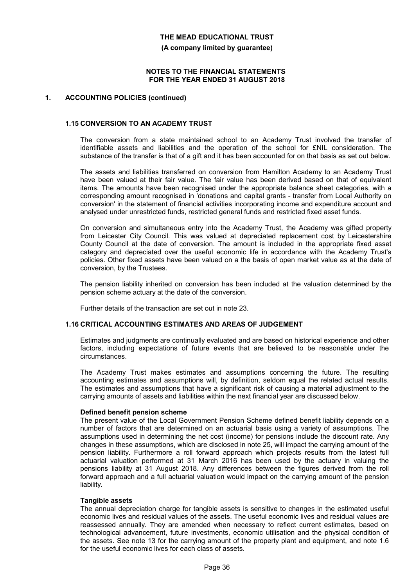**(A company limited by guarantee)**

#### **NOTES TO THE FINANCIAL STATEMENTS FOR THE YEAR ENDED 31 AUGUST 2018**

#### **1. ACCOUNTING POLICIES (continued)**

#### **1.15 CONVERSION TO AN ACADEMY TRUST**

The conversion from a state maintained school to an Academy Trust involved the transfer of identifiable assets and liabilities and the operation of the school for £NIL consideration. The substance of the transfer is that of a gift and it has been accounted for on that basis as set out below.

The assets and liabilities transferred on conversion from Hamilton Academy to an Academy Trust have been valued at their fair value. The fair value has been derived based on that of equivalent items. The amounts have been recognised under the appropriate balance sheet categories, with a corresponding amount recognised in 'donations and capital grants - transfer from Local Authority on conversion' in the statement of financial activities incorporating income and expenditure account and analysed under unrestricted funds, restricted general funds and restricted fixed asset funds.

On conversion and simultaneous entry into the Academy Trust, the Academy was gifted property from Leicester City Council. This was valued at depreciated replacement cost by Leicestershire County Council at the date of conversion. The amount is included in the appropriate fixed asset category and depreciated over the useful economic life in accordance with the Academy Trust's policies. Other fixed assets have been valued on a the basis of open market value as at the date of conversion, by the Trustees.

The pension liability inherited on conversion has been included at the valuation determined by the pension scheme actuary at the date of the conversion.

Further details of the transaction are set out in note 23.

## **1.16 CRITICAL ACCOUNTING ESTIMATES AND AREAS OF JUDGEMENT**

Estimates and judgments are continually evaluated and are based on historical experience and other factors, including expectations of future events that are believed to be reasonable under the circumstances.

The Academy Trust makes estimates and assumptions concerning the future. The resulting accounting estimates and assumptions will, by definition, seldom equal the related actual results. The estimates and assumptions that have a significant risk of causing a material adjustment to the carrying amounts of assets and liabilities within the next financial year are discussed below.

#### **Defined benefit pension scheme**

The present value of the Local Government Pension Scheme defined benefit liability depends on a number of factors that are determined on an actuarial basis using a variety of assumptions. The assumptions used in determining the net cost (income) for pensions include the discount rate. Any changes in these assumptions, which are disclosed in note 25, will impact the carrying amount of the pension liability. Furthermore a roll forward approach which projects results from the latest full actuarial valuation performed at 31 March 2016 has been used by the actuary in valuing the pensions liability at 31 August 2018. Any differences between the figures derived from the roll forward approach and a full actuarial valuation would impact on the carrying amount of the pension liability.

#### **Tangible assets**

The annual depreciation charge for tangible assets is sensitive to changes in the estimated useful economic lives and residual values of the assets. The useful economic lives and residual values are reassessed annually. They are amended when necessary to reflect current estimates, based on technological advancement, future investments, economic utilisation and the physical condition of the assets. See note 13 for the carrying amount of the property plant and equipment, and note 1.6 for the useful economic lives for each class of assets.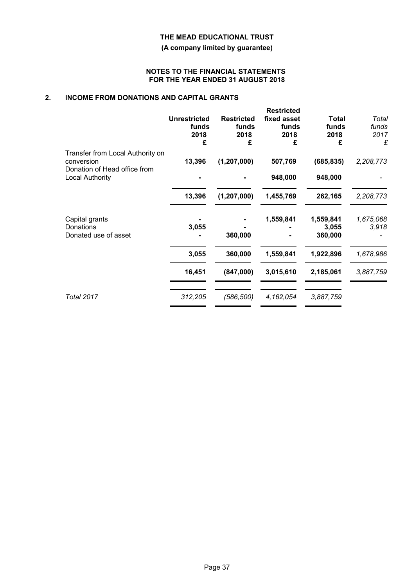**(A company limited by guarantee)**

#### **NOTES TO THE FINANCIAL STATEMENTS FOR THE YEAR ENDED 31 AUGUST 2018**

# **2. INCOME FROM DONATIONS AND CAPITAL GRANTS**

|                                                                                | <b>Unrestricted</b><br>funds<br>2018<br>£ | <b>Restricted</b><br>funds<br>2018<br>£ | <b>Restricted</b><br>fixed asset<br>funds<br>2018<br>£ | <b>Total</b><br>funds<br>2018<br>£ | Total<br>funds<br>2017<br>£ |
|--------------------------------------------------------------------------------|-------------------------------------------|-----------------------------------------|--------------------------------------------------------|------------------------------------|-----------------------------|
| Transfer from Local Authority on<br>conversion<br>Donation of Head office from | 13,396                                    | (1,207,000)                             | 507,769                                                | (685, 835)                         | 2,208,773                   |
| Local Authority                                                                |                                           |                                         | 948,000                                                | 948,000                            |                             |
|                                                                                | 13,396                                    | (1, 207, 000)                           | 1,455,769                                              | 262,165                            | 2,208,773                   |
| Capital grants<br>Donations<br>Donated use of asset                            | 3,055                                     | 360,000                                 | 1,559,841                                              | 1,559,841<br>3,055<br>360,000      | 1,675,068<br>3,918          |
|                                                                                | 3,055                                     | 360,000                                 | 1,559,841                                              | 1,922,896                          | 1,678,986                   |
|                                                                                | 16,451                                    | (847,000)                               | 3,015,610                                              | 2,185,061                          | 3,887,759                   |
| <b>Total 2017</b>                                                              | 312,205                                   | (586, 500)                              | 4,162,054                                              | 3,887,759                          |                             |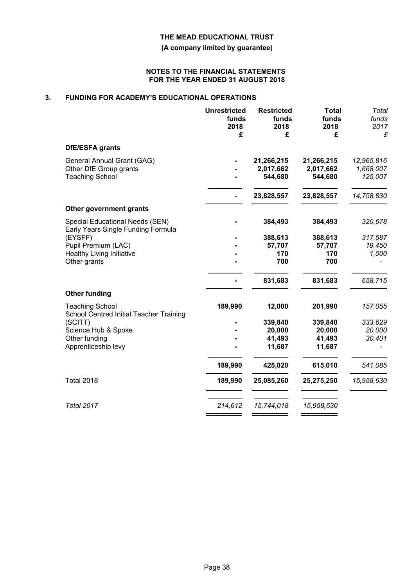**(A company limited by guarantee)**

#### **NOTES TO THE FINANCIAL STATEMENTS FOR THE YEAR ENDED 31 AUGUST 2018**

# **3. FUNDING FOR ACADEMY'S EDUCATIONAL OPERATIONS**

|                                                                                | <b>Unrestricted</b><br>funds<br>2018<br>£ | <b>Restricted</b><br>funds<br>2018<br>£ | <b>Total</b><br>funds<br>2018<br>£ | <b>Total</b><br>funds<br>2017<br>£ |
|--------------------------------------------------------------------------------|-------------------------------------------|-----------------------------------------|------------------------------------|------------------------------------|
| DfE/ESFA grants                                                                |                                           |                                         |                                    |                                    |
| General Annual Grant (GAG)<br>Other DfE Group grants<br><b>Teaching School</b> |                                           | 21,266,215<br>2,017,662<br>544,680      | 21,266,215<br>2,017,662<br>544,680 | 12,965,816<br>1,668,007<br>125,007 |
|                                                                                |                                           | 23,828,557                              | 23,828,557                         | 14,758,830                         |
| Other government grants                                                        |                                           |                                         |                                    |                                    |
| Special Educational Needs (SEN)<br>Early Years Single Funding Formula          |                                           | 384,493                                 | 384,493                            | 320,678                            |
| (EYSFF)                                                                        |                                           | 388,613                                 | 388,613                            | 317,587                            |
| Pupil Premium (LAC)                                                            |                                           | 57,707                                  | 57,707                             | 19,450                             |
| <b>Healthy Living Initiative</b><br>Other grants                               |                                           | 170<br>700                              | 170<br>700                         | 1,000                              |
|                                                                                |                                           | 831,683                                 | 831,683                            | 658,715                            |
| <b>Other funding</b>                                                           |                                           |                                         |                                    |                                    |
| <b>Teaching School</b><br>School Centred Initial Teacher Training              | 189,990                                   | 12,000                                  | 201,990                            | 157,055                            |
| (SCITT)                                                                        |                                           | 339,840                                 | 339,840                            | 333,629                            |
| Science Hub & Spoke                                                            |                                           | 20,000                                  | 20,000                             | 20,000                             |
| Other funding                                                                  |                                           | 41,493                                  | 41,493                             | 30,401                             |
| Apprenticeship levy                                                            |                                           | 11,687                                  | 11,687                             |                                    |
|                                                                                | 189,990                                   | 425,020                                 | 615,010                            | 541,085                            |
| <b>Total 2018</b>                                                              | 189,990                                   | 25,085,260                              | 25,275,250                         | 15,958,630                         |
| <b>Total 2017</b>                                                              | 214,612                                   | 15,744,018                              | 15,958,630                         |                                    |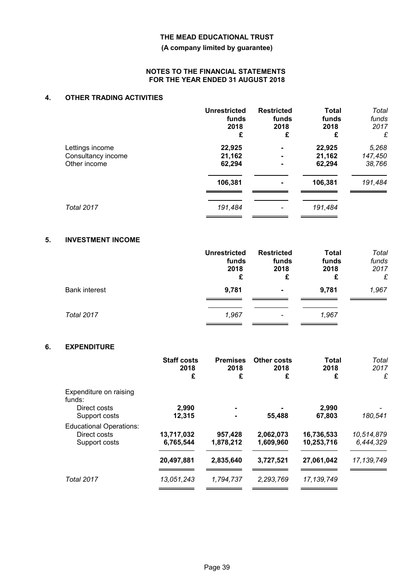### **(A company limited by guarantee)**

#### **NOTES TO THE FINANCIAL STATEMENTS FOR THE YEAR ENDED 31 AUGUST 2018**

# **4. OTHER TRADING ACTIVITIES**

|                    | <b>Unrestricted</b> | <b>Restricted</b>        | <b>Total</b> | Total   |
|--------------------|---------------------|--------------------------|--------------|---------|
|                    | funds               | funds                    | funds        | funds   |
|                    | 2018                | 2018                     | 2018         | 2017    |
|                    | £                   | £                        | £            | £       |
| Lettings income    | 22,925              | $\blacksquare$           | 22,925       | 5,268   |
| Consultancy income | 21,162              | $\blacksquare$           | 21,162       | 147,450 |
| Other income       | 62,294              | $\blacksquare$           | 62,294       | 38,766  |
|                    | 106,381             | $\blacksquare$           | 106,381      | 191,484 |
| <b>Total 2017</b>  | 191,484             | $\overline{\phantom{a}}$ | 191,484      |         |

# **5. INVESTMENT INCOME**

|                      | <b>Unrestricted</b><br>funds<br>2018<br>£ | <b>Restricted</b><br>funds<br>2018<br>£ | <b>Total</b><br>funds<br>2018<br>£ | Total<br>funds<br>2017<br>£ |
|----------------------|-------------------------------------------|-----------------------------------------|------------------------------------|-----------------------------|
| <b>Bank interest</b> | 9,781                                     | $\blacksquare$                          | 9,781                              | 1,967                       |
| Total 2017           | 1,967                                     | $\qquad \qquad$                         | 1,967                              |                             |

# **6. EXPENDITURE**

|                                                                 | <b>Staff costs</b><br>2018<br>£ | <b>Premises</b><br>2018<br>£ | <b>Other costs</b><br>2018<br>£ | <b>Total</b><br>2018<br>£ | Total<br>2017<br>£      |
|-----------------------------------------------------------------|---------------------------------|------------------------------|---------------------------------|---------------------------|-------------------------|
| Expenditure on raising<br>funds:<br>Direct costs                | 2,990                           |                              |                                 | 2,990                     |                         |
| Support costs                                                   | 12,315                          |                              | 55,488                          | 67,803                    | 180,541                 |
| <b>Educational Operations:</b><br>Direct costs<br>Support costs | 13,717,032<br>6,765,544         | 957,428<br>1,878,212         | 2,062,073<br>1,609,960          | 16,736,533<br>10,253,716  | 10,514,879<br>6,444,329 |
|                                                                 | 20,497,881                      | 2,835,640                    | 3,727,521                       | 27,061,042                | 17, 139, 749            |
| <b>Total 2017</b>                                               | 13,051,243                      | 1,794,737                    | 2,293,769                       | 17, 139, 749              |                         |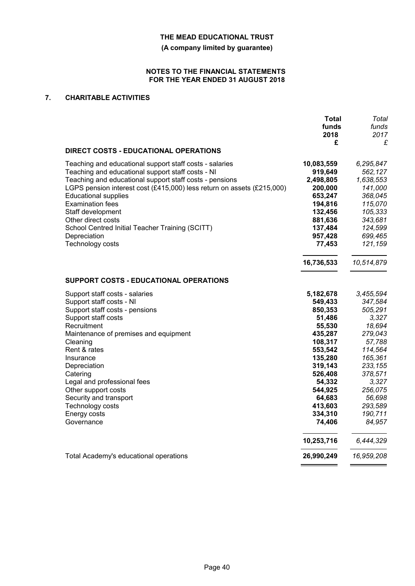**(A company limited by guarantee)**

#### **NOTES TO THE FINANCIAL STATEMENTS FOR THE YEAR ENDED 31 AUGUST 2018**

# **7. CHARITABLE ACTIVITIES**

|                                                                                                                                                                                                                                                                                                                                                                                                                                               | <b>Total</b><br>funds<br>2018<br>£                                                                                        | Total<br>funds<br>2017<br>£                                                                                               |
|-----------------------------------------------------------------------------------------------------------------------------------------------------------------------------------------------------------------------------------------------------------------------------------------------------------------------------------------------------------------------------------------------------------------------------------------------|---------------------------------------------------------------------------------------------------------------------------|---------------------------------------------------------------------------------------------------------------------------|
| <b>DIRECT COSTS - EDUCATIONAL OPERATIONS</b>                                                                                                                                                                                                                                                                                                                                                                                                  |                                                                                                                           |                                                                                                                           |
| Teaching and educational support staff costs - salaries<br>Teaching and educational support staff costs - NI<br>Teaching and educational support staff costs - pensions<br>LGPS pension interest cost (£415,000) less return on assets (£215,000)<br><b>Educational supplies</b><br><b>Examination fees</b><br>Staff development<br>Other direct costs<br>School Centred Initial Teacher Training (SCITT)<br>Depreciation<br>Technology costs | 10,083,559<br>919,649<br>2,498,805<br>200,000<br>653,247<br>194,816<br>132,456<br>881,636<br>137,484<br>957,428<br>77,453 | 6,295,847<br>562,127<br>1,638,553<br>141,000<br>368,045<br>115,070<br>105,333<br>343,681<br>124,599<br>699,465<br>121,159 |
| SUPPORT COSTS - EDUCATIONAL OPERATIONS                                                                                                                                                                                                                                                                                                                                                                                                        | 16,736,533                                                                                                                | 10,514,879                                                                                                                |
|                                                                                                                                                                                                                                                                                                                                                                                                                                               |                                                                                                                           |                                                                                                                           |
| Support staff costs - salaries                                                                                                                                                                                                                                                                                                                                                                                                                | 5,182,678                                                                                                                 | 3,455,594                                                                                                                 |
| Support staff costs - NI<br>Support staff costs - pensions                                                                                                                                                                                                                                                                                                                                                                                    | 549,433<br>850,353                                                                                                        | 347,584<br>505,291                                                                                                        |
| Support staff costs                                                                                                                                                                                                                                                                                                                                                                                                                           | 51,486                                                                                                                    | 3,327                                                                                                                     |
| Recruitment                                                                                                                                                                                                                                                                                                                                                                                                                                   | 55,530                                                                                                                    | 18,694                                                                                                                    |
| Maintenance of premises and equipment                                                                                                                                                                                                                                                                                                                                                                                                         | 435,287                                                                                                                   | 279,043                                                                                                                   |
| Cleaning                                                                                                                                                                                                                                                                                                                                                                                                                                      | 108,317                                                                                                                   | 57,788                                                                                                                    |
| Rent & rates                                                                                                                                                                                                                                                                                                                                                                                                                                  | 553,542                                                                                                                   | 114,564                                                                                                                   |
| Insurance                                                                                                                                                                                                                                                                                                                                                                                                                                     | 135,280                                                                                                                   | 165,361                                                                                                                   |
| Depreciation                                                                                                                                                                                                                                                                                                                                                                                                                                  | 319,143                                                                                                                   | 233,155                                                                                                                   |
| Catering                                                                                                                                                                                                                                                                                                                                                                                                                                      | 526,408                                                                                                                   | 378,571                                                                                                                   |
| Legal and professional fees                                                                                                                                                                                                                                                                                                                                                                                                                   | 54,332                                                                                                                    | 3,327                                                                                                                     |
| Other support costs                                                                                                                                                                                                                                                                                                                                                                                                                           | 544,925                                                                                                                   | 256,075                                                                                                                   |
| Security and transport                                                                                                                                                                                                                                                                                                                                                                                                                        | 64,683                                                                                                                    | 56,698                                                                                                                    |
| Technology costs                                                                                                                                                                                                                                                                                                                                                                                                                              | 413,603                                                                                                                   | 293,589                                                                                                                   |
| Energy costs                                                                                                                                                                                                                                                                                                                                                                                                                                  | 334,310                                                                                                                   | 190,711                                                                                                                   |
| Governance                                                                                                                                                                                                                                                                                                                                                                                                                                    | 74,406                                                                                                                    | 84,957                                                                                                                    |
|                                                                                                                                                                                                                                                                                                                                                                                                                                               | 10,253,716                                                                                                                | 6,444,329                                                                                                                 |
| Total Academy's educational operations                                                                                                                                                                                                                                                                                                                                                                                                        | 26,990,249                                                                                                                | 16,959,208                                                                                                                |
|                                                                                                                                                                                                                                                                                                                                                                                                                                               |                                                                                                                           |                                                                                                                           |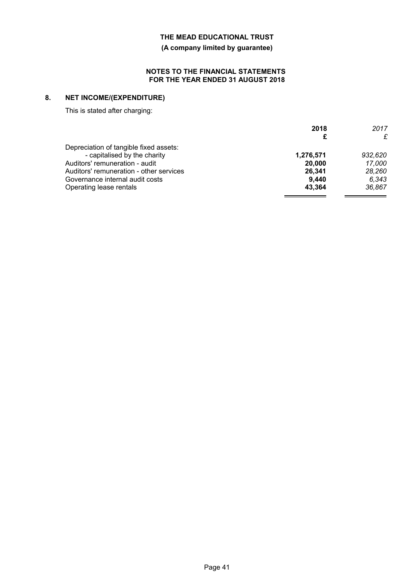**(A company limited by guarantee)**

#### **NOTES TO THE FINANCIAL STATEMENTS FOR THE YEAR ENDED 31 AUGUST 2018**

# **8. NET INCOME/(EXPENDITURE)**

This is stated after charging:

|                                         | 2018      | 2017    |
|-----------------------------------------|-----------|---------|
|                                         | £         | £       |
| Depreciation of tangible fixed assets:  |           |         |
| - capitalised by the charity            | 1,276,571 | 932,620 |
| Auditors' remuneration - audit          | 20,000    | 17.000  |
| Auditors' remuneration - other services | 26,341    | 28,260  |
| Governance internal audit costs         | 9.440     | 6.343   |
| Operating lease rentals                 | 43.364    | 36.867  |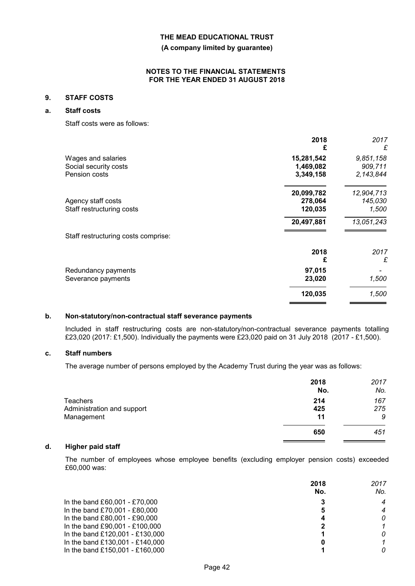**(A company limited by guarantee)**

#### **NOTES TO THE FINANCIAL STATEMENTS FOR THE YEAR ENDED 31 AUGUST 2018**

#### **9. STAFF COSTS**

# **a. Staff costs**

Staff costs were as follows:

|                                     | 2018<br>£  | 2017<br>£  |
|-------------------------------------|------------|------------|
| Wages and salaries                  | 15,281,542 | 9,851,158  |
| Social security costs               | 1,469,082  | 909,711    |
| Pension costs                       | 3,349,158  | 2,143,844  |
|                                     | 20,099,782 | 12,904,713 |
| Agency staff costs                  | 278,064    | 145,030    |
| Staff restructuring costs           | 120,035    | 1,500      |
|                                     | 20,497,881 | 13,051,243 |
| Staff restructuring costs comprise: |            |            |
|                                     | 2018       | 2017       |
|                                     | £          | £          |
| Redundancy payments                 | 97,015     |            |
| Severance payments                  | 23,020     | 1,500      |
|                                     | 120,035    | 1,500      |
|                                     |            |            |

### **b. Non-statutory/non-contractual staff severance payments**

Included in staff restructuring costs are non-statutory/non-contractual severance payments totalling £23,020 (2017: £1,500). Individually the payments were £23,020 paid on 31 July 2018 (2017 - £1,500).

## **c. Staff numbers**

The average number of persons employed by the Academy Trust during the year was as follows:

|                            | 2018<br>No. | 2017<br>No. |
|----------------------------|-------------|-------------|
| <b>Teachers</b>            | 214         | 167         |
| Administration and support | 425         | 275         |
| Management                 | 11          | 9           |
|                            | 650         | 451         |

# **d. Higher paid staff**

The number of employees whose employee benefits (excluding employer pension costs) exceeded £60,000 was:

|                                 | 2018<br>No. | 2017<br>No. |
|---------------------------------|-------------|-------------|
|                                 |             |             |
| In the band £60,001 - £70,000   |             | 4           |
| In the band £70,001 - £80,000   | 5           | 4           |
| In the band £80,001 - £90,000   |             | 0           |
| In the band £90,001 - £100,000  |             |             |
| In the band £120,001 - £130,000 |             | 0           |
| In the band £130,001 - £140,000 |             |             |
| In the band £150,001 - £160,000 |             | 0           |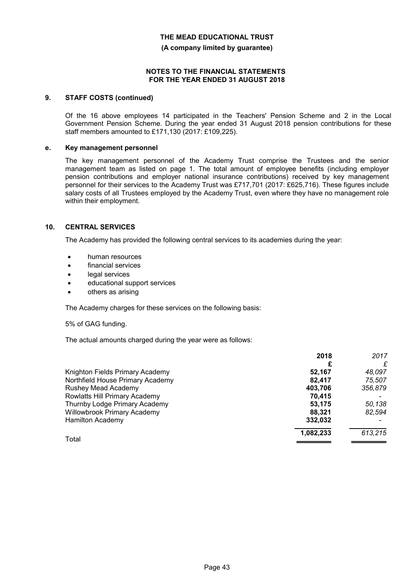**(A company limited by guarantee)**

#### **NOTES TO THE FINANCIAL STATEMENTS FOR THE YEAR ENDED 31 AUGUST 2018**

#### **9. STAFF COSTS (continued)**

Of the 16 above employees 14 participated in the Teachers' Pension Scheme and 2 in the Local Government Pension Scheme. During the year ended 31 August 2018 pension contributions for these staff members amounted to £171,130 (2017: £109,225).

#### **e. Key management personnel**

The key management personnel of the Academy Trust comprise the Trustees and the senior management team as listed on page 1. The total amount of employee benefits (including employer pension contributions and employer national insurance contributions) received by key management personnel for their services to the Academy Trust was £717,701 (2017: £625,716). These figures include salary costs of all Trustees employed by the Academy Trust, even where they have no management role within their employment.

### **10. CENTRAL SERVICES**

The Academy has provided the following central services to its academies during the year:

- human resources
- financial services
- legal services
- educational support services
- others as arising

The Academy charges for these services on the following basis:

#### 5% of GAG funding.

The actual amounts charged during the year were as follows:

|                                  | 2018      | 2017    |
|----------------------------------|-----------|---------|
|                                  |           | £       |
| Knighton Fields Primary Academy  | 52.167    | 48,097  |
| Northfield House Primary Academy | 82.417    | 75,507  |
| Rushey Mead Academy              | 403,706   | 356,879 |
| Rowlatts Hill Primary Academy    | 70.415    |         |
| Thurnby Lodge Primary Academy    | 53,175    | 50,138  |
| Willowbrook Primary Academy      | 88.321    | 82,594  |
| <b>Hamilton Academy</b>          | 332,032   |         |
|                                  | 1,082,233 | 613,215 |
| Total                            |           |         |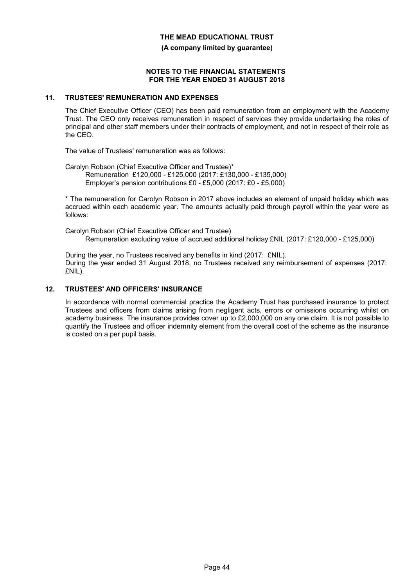**(A company limited by guarantee)**

#### **NOTES TO THE FINANCIAL STATEMENTS FOR THE YEAR ENDED 31 AUGUST 2018**

#### **11. TRUSTEES' REMUNERATION AND EXPENSES**

The Chief Executive Officer (CEO) has been paid remuneration from an employment with the Academy Trust. The CEO only receives remuneration in respect of services they provide undertaking the roles of principal and other staff members under their contracts of employment, and not in respect of their role as the CEO.

The value of Trustees' remuneration was as follows:

Carolyn Robson (Chief Executive Officer and Trustee)\* Remuneration £120,000 - £125,000 (2017: £130,000 - £135,000) Employer's pension contributions £0 - £5,000 (2017: £0 - £5,000)

\* The remuneration for Carolyn Robson in 2017 above includes an element of unpaid holiday which was accrued within each academic year. The amounts actually paid through payroll within the year were as follows:

Carolyn Robson (Chief Executive Officer and Trustee) Remuneration excluding value of accrued additional holiday £NIL (2017: £120,000 - £125,000)

During the year, no Trustees received any benefits in kind (2017: £NIL). During the year ended 31 August 2018, no Trustees received any reimbursement of expenses (2017: £NIL).

### **12. TRUSTEES' AND OFFICERS' INSURANCE**

In accordance with normal commercial practice the Academy Trust has purchased insurance to protect Trustees and officers from claims arising from negligent acts, errors or omissions occurring whilst on academy business. The insurance provides cover up to £2,000,000 on any one claim. It is not possible to quantify the Trustees and officer indemnity element from the overall cost of the scheme as the insurance is costed on a per pupil basis.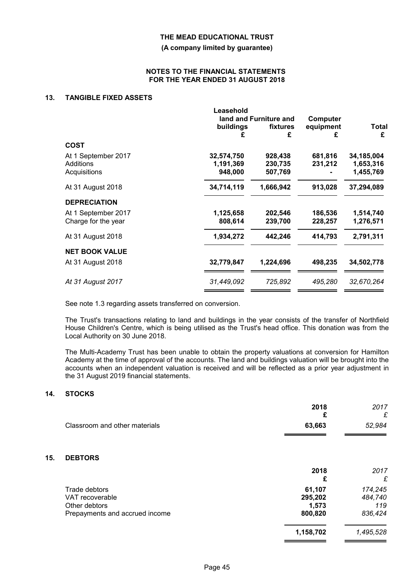**(A company limited by guarantee)**

### **NOTES TO THE FINANCIAL STATEMENTS FOR THE YEAR ENDED 31 AUGUST 2018**

## **13. TANGIBLE FIXED ASSETS**

|                                                  | Leasehold<br>land and Furniture and | Computer                      |                    |                                      |
|--------------------------------------------------|-------------------------------------|-------------------------------|--------------------|--------------------------------------|
|                                                  | buildings<br>£                      | fixtures<br>£                 | equipment<br>£     | Total<br>£                           |
| <b>COST</b>                                      |                                     |                               |                    |                                      |
| At 1 September 2017<br>Additions<br>Acquisitions | 32,574,750<br>1,191,369<br>948,000  | 928,438<br>230,735<br>507,769 | 681,816<br>231,212 | 34,185,004<br>1,653,316<br>1,455,769 |
| At 31 August 2018                                | 34,714,119                          | 1,666,942                     | 913,028            | 37,294,089                           |
| <b>DEPRECIATION</b>                              |                                     |                               |                    |                                      |
| At 1 September 2017<br>Charge for the year       | 1,125,658<br>808,614                | 202,546<br>239,700            | 186,536<br>228,257 | 1,514,740<br>1,276,571               |
| At 31 August 2018                                | 1,934,272                           | 442,246                       | 414,793            | 2,791,311                            |
| <b>NET BOOK VALUE</b>                            |                                     |                               |                    |                                      |
| At 31 August 2018                                | 32,779,847                          | 1,224,696                     | 498,235            | 34,502,778                           |
| At 31 August 2017                                | 31,449,092                          | 725,892                       | 495,280            | 32,670,264                           |

See note 1.3 regarding assets transferred on conversion.

The Trust's transactions relating to land and buildings in the year consists of the transfer of Northfield House Children's Centre, which is being utilised as the Trust's head office. This donation was from the Local Authority on 30 June 2018.

The Multi-Academy Trust has been unable to obtain the property valuations at conversion for Hamilton Academy at the time of approval of the accounts. The land and buildings valuation will be brought into the accounts when an independent valuation is received and will be reflected as a prior year adjustment in the 31 August 2019 financial statements.

# **14. STOCKS**

**15. DEBTORS**

|                                                                                     | 2018<br>£                             | 2017<br>£                            |
|-------------------------------------------------------------------------------------|---------------------------------------|--------------------------------------|
| Classroom and other materials                                                       | 63,663                                | 52,984                               |
| <b>DEBTORS</b>                                                                      |                                       |                                      |
|                                                                                     | 2018<br>£                             | 2017<br>£                            |
| Trade debtors<br>VAT recoverable<br>Other debtors<br>Prepayments and accrued income | 61,107<br>295,202<br>1,573<br>800,820 | 174,245<br>484,740<br>119<br>836,424 |
|                                                                                     | 1,158,702                             | 1,495,528                            |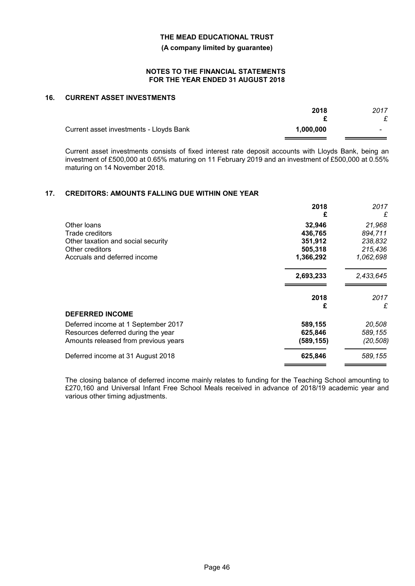**(A company limited by guarantee)**

#### **NOTES TO THE FINANCIAL STATEMENTS FOR THE YEAR ENDED 31 AUGUST 2018**

### **16. CURRENT ASSET INVESTMENTS**

|                                         | 2018      | 2017 |
|-----------------------------------------|-----------|------|
| Current asset investments - Lloyds Bank | 1.000.000 |      |

Current asset investments consists of fixed interest rate deposit accounts with Lloyds Bank, being an investment of £500,000 at 0.65% maturing on 11 February 2019 and an investment of £500,000 at 0.55% maturing on 14 November 2018.

#### **17. CREDITORS: AMOUNTS FALLING DUE WITHIN ONE YEAR**

|                                      | 2018       | 2017      |
|--------------------------------------|------------|-----------|
|                                      | £          | £         |
| Other loans                          | 32,946     | 21,968    |
| Trade creditors                      | 436,765    | 894,711   |
| Other taxation and social security   | 351,912    | 238,832   |
| Other creditors                      | 505,318    | 215,436   |
| Accruals and deferred income         | 1,366,292  | 1,062,698 |
|                                      | 2,693,233  | 2,433,645 |
|                                      | 2018       | 2017      |
|                                      | £          | £         |
| <b>DEFERRED INCOME</b>               |            |           |
| Deferred income at 1 September 2017  | 589,155    | 20,508    |
| Resources deferred during the year   | 625,846    | 589,155   |
| Amounts released from previous years | (589, 155) | (20,508)  |
| Deferred income at 31 August 2018    | 625,846    | 589,155   |

The closing balance of deferred income mainly relates to funding for the Teaching School amounting to £270,160 and Universal Infant Free School Meals received in advance of 2018/19 academic year and various other timing adjustments.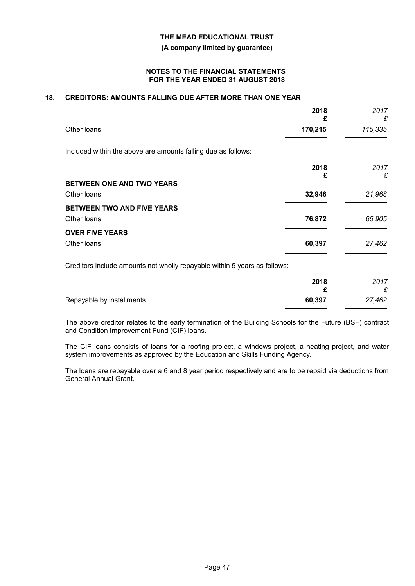**(A company limited by guarantee)**

#### **NOTES TO THE FINANCIAL STATEMENTS FOR THE YEAR ENDED 31 AUGUST 2018**

# **18. CREDITORS: AMOUNTS FALLING DUE AFTER MORE THAN ONE YEAR**

|                                                               | 2018<br>£ | 2017<br>£ |
|---------------------------------------------------------------|-----------|-----------|
| Other loans                                                   | 170,215   | 115,335   |
| Included within the above are amounts falling due as follows: |           |           |
|                                                               | 2018<br>£ | 2017<br>£ |
| BETWEEN ONE AND TWO YEARS                                     |           |           |
| Other loans                                                   | 32,946    | 21,968    |
| BETWEEN TWO AND FIVE YEARS                                    |           |           |
| Other loans                                                   | 76,872    | 65,905    |
| <b>OVER FIVE YEARS</b>                                        |           |           |
| Other loans                                                   | 60,397    | 27,462    |
|                                                               |           |           |

Creditors include amounts not wholly repayable within 5 years as follows:

|                           | 2018<br>◠ | 2017<br>$\sim$ |
|---------------------------|-----------|----------------|
| Repayable by installments | 60,397    | 27,462         |

The above creditor relates to the early termination of the Building Schools for the Future (BSF) contract and Condition Improvement Fund (CIF) loans.

The CIF loans consists of loans for a roofing project, a windows project, a heating project, and water system improvements as approved by the Education and Skills Funding Agency.

The loans are repayable over a 6 and 8 year period respectively and are to be repaid via deductions from General Annual Grant.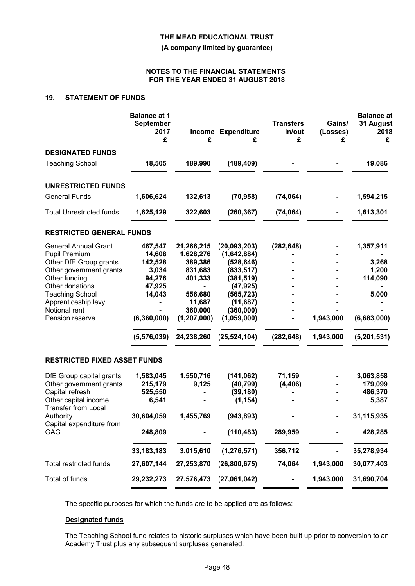**(A company limited by guarantee)**

#### **NOTES TO THE FINANCIAL STATEMENTS FOR THE YEAR ENDED 31 AUGUST 2018**

# **19. STATEMENT OF FUNDS**

|                                                    | <b>Balance at 1</b><br><b>September</b><br>2017<br>£ | £             | Income Expenditure<br>£ | <b>Transfers</b><br>in/out<br>£ | Gains/<br>(Losses)<br>£ | <b>Balance at</b><br>31 August<br>2018<br>£ |
|----------------------------------------------------|------------------------------------------------------|---------------|-------------------------|---------------------------------|-------------------------|---------------------------------------------|
| <b>DESIGNATED FUNDS</b>                            |                                                      |               |                         |                                 |                         |                                             |
| <b>Teaching School</b>                             | 18,505                                               | 189,990       | (189, 409)              |                                 |                         | 19,086                                      |
| <b>UNRESTRICTED FUNDS</b>                          |                                                      |               |                         |                                 |                         |                                             |
| <b>General Funds</b>                               | 1,606,624                                            | 132,613       | (70, 958)               | (74, 064)                       |                         | 1,594,215                                   |
| <b>Total Unrestricted funds</b>                    | 1,625,129                                            | 322,603       | (260, 367)              | (74, 064)                       |                         | 1,613,301                                   |
| <b>RESTRICTED GENERAL FUNDS</b>                    |                                                      |               |                         |                                 |                         |                                             |
| <b>General Annual Grant</b>                        | 467,547                                              | 21,266,215    | (20, 093, 203)          | (282, 648)                      |                         | 1,357,911                                   |
| <b>Pupil Premium</b>                               | 14,608                                               | 1,628,276     | (1,642,884)             |                                 |                         |                                             |
| Other DfE Group grants                             | 142,528                                              | 389,386       | (528, 646)              |                                 |                         | 3,268                                       |
| Other government grants                            | 3,034                                                | 831,683       | (833, 517)              |                                 |                         | 1,200                                       |
| Other funding                                      | 94,276                                               | 401,333       | (381, 519)              |                                 |                         | 114,090                                     |
| Other donations                                    | 47,925                                               | -             | (47, 925)               |                                 |                         |                                             |
| <b>Teaching School</b>                             | 14,043                                               | 556,680       | (565, 723)              |                                 |                         | 5,000                                       |
| Apprenticeship levy                                | $\blacksquare$                                       | 11,687        | (11, 687)               |                                 |                         |                                             |
| Notional rent                                      |                                                      | 360,000       | (360,000)               |                                 |                         |                                             |
| Pension reserve                                    | (6,360,000)                                          | (1, 207, 000) | (1,059,000)             |                                 | 1,943,000               | (6,683,000)                                 |
|                                                    | (5, 576, 039)                                        | 24,238,260    | (25, 524, 104)          | (282, 648)                      | 1,943,000               | (5,201,531)                                 |
| <b>RESTRICTED FIXED ASSET FUNDS</b>                |                                                      |               |                         |                                 |                         |                                             |
| DfE Group capital grants                           | 1,583,045                                            | 1,550,716     | (141, 062)              | 71,159                          |                         | 3,063,858                                   |
| Other government grants                            | 215,179                                              | 9,125         | (40, 799)               | (4, 406)                        |                         | 179,099                                     |
| Capital refresh                                    | 525,550                                              |               | (39, 180)               |                                 |                         | 486,370                                     |
| Other capital income<br><b>Transfer from Local</b> | 6,541                                                |               | (1, 154)                |                                 |                         | 5,387                                       |
| Authority                                          | 30,604,059                                           | 1,455,769     | (943, 893)              |                                 |                         | 31,115,935                                  |
| Capital expenditure from<br>GAG                    | 248,809                                              |               | (110, 483)              | 289,959                         |                         | 428,285                                     |
|                                                    | 33, 183, 183                                         | 3,015,610     | (1, 276, 571)           | 356,712                         |                         | 35,278,934                                  |
| Total restricted funds                             | 27,607,144                                           | 27,253,870    | (26, 800, 675)          | 74,064                          | 1,943,000               | 30,077,403                                  |
| Total of funds                                     | 29,232,273                                           | 27,576,473    | (27,061,042)            |                                 | 1,943,000               | 31,690,704                                  |
|                                                    |                                                      |               |                         |                                 |                         |                                             |

The specific purposes for which the funds are to be applied are as follows:

#### **Designated funds**

The Teaching School fund relates to historic surpluses which have been built up prior to conversion to an Academy Trust plus any subsequent surpluses generated.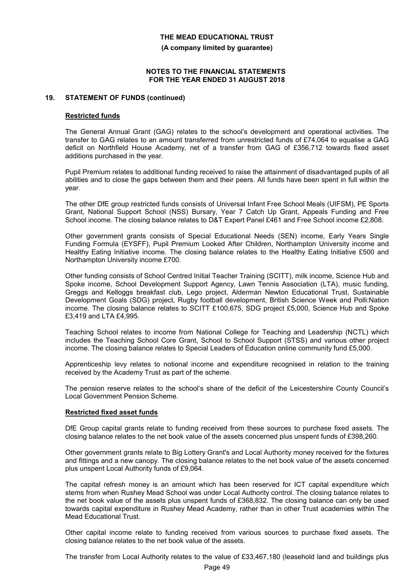**(A company limited by guarantee)**

#### **NOTES TO THE FINANCIAL STATEMENTS FOR THE YEAR ENDED 31 AUGUST 2018**

#### **19. STATEMENT OF FUNDS (continued)**

#### **Restricted funds**

The General Annual Grant (GAG) relates to the school's development and operational activities. The transfer to GAG relates to an amount transferred from unrestricted funds of £74,064 to equalise a GAG deficit on Northfield House Academy, net of a transfer from GAG of £356,712 towards fixed asset additions purchased in the year.

Pupil Premium relates to additional funding received to raise the attainment of disadvantaged pupils of all abilities and to close the gaps between them and their peers. All funds have been spent in full within the year.

The other DfE group restricted funds consists of Universal Infant Free School Meals (UIFSM), PE Sports Grant, National Support School (NSS) Bursary, Year 7 Catch Up Grant, Appeals Funding and Free School income. The closing balance relates to D&T Expert Panel £461 and Free School income £2,808.

Other government grants consists of Special Educational Needs (SEN) income, Early Years Single Funding Formula (EYSFF), Pupil Premium Looked After Children, Northampton University income and Healthy Eating Initiative income. The closing balance relates to the Healthy Eating Initiative £500 and Northampton University income £700.

Other funding consists of School Centred Initial Teacher Training (SCITT), milk income, Science Hub and Spoke income, School Development Support Agency, Lawn Tennis Association (LTA), music funding, Greggs and Kelloggs breakfast club, Lego project, Alderman Newton Educational Trust, Sustainable Development Goals (SDG) project, Rugby football development, British Science Week and Polli:Nation income. The closing balance relates to SCITT £100,675, SDG project £5,000, Science Hub and Spoke £3,419 and LTA £4,995.

Teaching School relates to income from National College for Teaching and Leadership (NCTL) which includes the Teaching School Core Grant, School to School Support (STSS) and various other project income. The closing balance relates to Special Leaders of Education online community fund £5,000.

Apprenticeship levy relates to notional income and expenditure recognised in relation to the training received by the Academy Trust as part of the scheme.

The pension reserve relates to the school's share of the deficit of the Leicestershire County Council's Local Government Pension Scheme.

#### **Restricted fixed asset funds**

DfE Group capital grants relate to funding received from these sources to purchase fixed assets. The closing balance relates to the net book value of the assets concerned plus unspent funds of £398,260.

Other government grants relate to Big Lottery Grant's and Local Authority money received for the fixtures and fittings and a new canopy. The closing balance relates to the net book value of the assets concerned plus unspent Local Authority funds of £9,064.

The capital refresh money is an amount which has been reserved for ICT capital expenditure which stems from when Rushey Mead School was under Local Authority control. The closing balance relates to the net book value of the assets plus unspent funds of £368,832. The closing balance can only be used towards capital expenditure in Rushey Mead Academy, rather than in other Trust academies within The Mead Educational Trust.

Other capital income relate to funding received from various sources to purchase fixed assets. The closing balance relates to the net book value of the assets.

The transfer from Local Authority relates to the value of £33,467,180 (leasehold land and buildings plus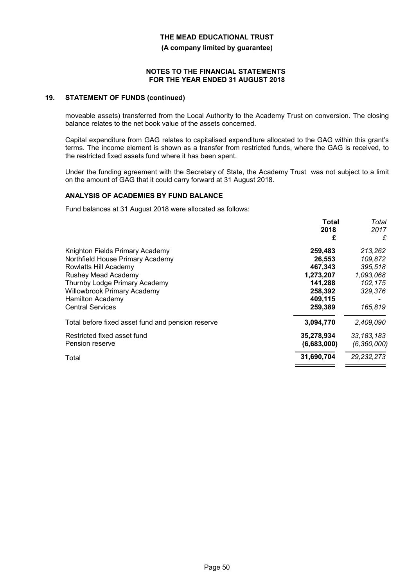**(A company limited by guarantee)**

#### **NOTES TO THE FINANCIAL STATEMENTS FOR THE YEAR ENDED 31 AUGUST 2018**

### **19. STATEMENT OF FUNDS (continued)**

moveable assets) transferred from the Local Authority to the Academy Trust on conversion. The closing balance relates to the net book value of the assets concerned.

Capital expenditure from GAG relates to capitalised expenditure allocated to the GAG within this grant's terms. The income element is shown as a transfer from restricted funds, where the GAG is received, to the restricted fixed assets fund where it has been spent.

Under the funding agreement with the Secretary of State, the Academy Trust was not subject to a limit on the amount of GAG that it could carry forward at 31 August 2018.

## **ANALYSIS OF ACADEMIES BY FUND BALANCE**

Fund balances at 31 August 2018 were allocated as follows:

| Total       | Total         |
|-------------|---------------|
| 2018        | 2017          |
| £           | £             |
| 259,483     | 213,262       |
| 26,553      | 109,872       |
| 467,343     | 395,518       |
| 1,273,207   | 1,093,068     |
| 141,288     | 102,175       |
| 258,392     | 329,376       |
| 409,115     |               |
| 259,389     | 165,819       |
| 3,094,770   | 2,409,090     |
| 35,278,934  | 33, 183, 183  |
| (6,683,000) | (6, 360, 000) |
| 31,690,704  | 29, 232, 273  |
|             |               |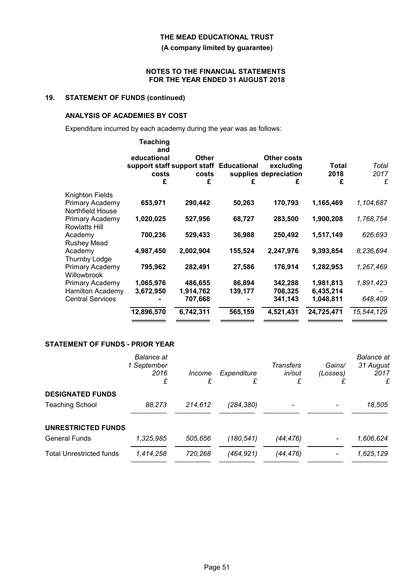**(A company limited by guarantee)**

#### **NOTES TO THE FINANCIAL STATEMENTS FOR THE YEAR ENDED 31 AUGUST 2018**

# **19. STATEMENT OF FUNDS (continued)**

### **ANALYSIS OF ACADEMIES BY COST**

Expenditure incurred by each academy during the year was as follows:

|                         | Teaching<br>and<br>educational<br>support staff support staff Educational<br>costs<br>£ | <b>Other</b><br>costs<br>£ | £       | Other costs<br>excluding<br>supplies depreciation<br>£ | Total<br>2018<br>£ | Total<br>2017<br>£ |
|-------------------------|-----------------------------------------------------------------------------------------|----------------------------|---------|--------------------------------------------------------|--------------------|--------------------|
| Knighton Fields         |                                                                                         |                            |         |                                                        |                    |                    |
| Primary Academy         | 653,971                                                                                 | 290,442                    | 50,263  | 170,793                                                | 1,165,469          | 1,104,687          |
| Northfield House        |                                                                                         |                            |         |                                                        |                    |                    |
| Primary Academy         | 1,020,025                                                                               | 527,956                    | 68,727  | 283,500                                                | 1,900,208          | 1,768,754          |
| <b>Rowlatts Hill</b>    | 700,236                                                                                 | 529,433                    |         | 250,492                                                | 1,517,149          | 626,693            |
| Academy<br>Rushey Mead  |                                                                                         |                            | 36,988  |                                                        |                    |                    |
| Academy                 | 4,987,450                                                                               | 2,002,904                  | 155,524 | 2,247,976                                              | 9,393,854          | 8,236,694          |
| Thurnby Lodge           |                                                                                         |                            |         |                                                        |                    |                    |
| Primary Academy         | 795,962                                                                                 | 282,491                    | 27,586  | 176,914                                                | 1,282,953          | 1,267,469          |
| Willowbrook             |                                                                                         |                            |         |                                                        |                    |                    |
| Primary Academy         | 1,065,976                                                                               | 486,655                    | 86,894  | 342,288                                                | 1,981,813          | 1,891,423          |
| <b>Hamilton Academy</b> | 3,672,950                                                                               | 1,914,762                  | 139,177 | 708,325                                                | 6,435,214          |                    |
| <b>Central Services</b> |                                                                                         | 707,668                    |         | 341,143                                                | 1,048,811          | 648,409            |
|                         | 12,896,570                                                                              | 6,742,311                  | 565,159 | 4,521,431                                              | 24,725,471         | 15,544,129         |
|                         |                                                                                         |                            |         |                                                        |                    |                    |

## **STATEMENT OF FUNDS - PRIOR YEAR**

|                                 | <b>Balance</b> at<br>1 September<br>2016<br>£ | Income<br>£ | Expenditure<br>£ | Transfers<br>in/out<br>£ | Gains/<br>(Losses) | <b>Balance</b> at<br>31 August<br>2017<br>£ |
|---------------------------------|-----------------------------------------------|-------------|------------------|--------------------------|--------------------|---------------------------------------------|
| <b>DESIGNATED FUNDS</b>         |                                               |             |                  |                          |                    |                                             |
| <b>Teaching School</b>          | 88,273                                        | 214,612     | (284,380)        |                          |                    | 18,505                                      |
| UNRESTRICTED FUNDS              |                                               |             |                  |                          |                    |                                             |
| <b>General Funds</b>            | 1,325,985                                     | 505,656     | (180,541)        | (44,476)                 |                    | 1,606,624                                   |
| <b>Total Unrestricted funds</b> | 1,414,258                                     | 720,268     | (464,921)        | (44,476)                 |                    | 1,625,129                                   |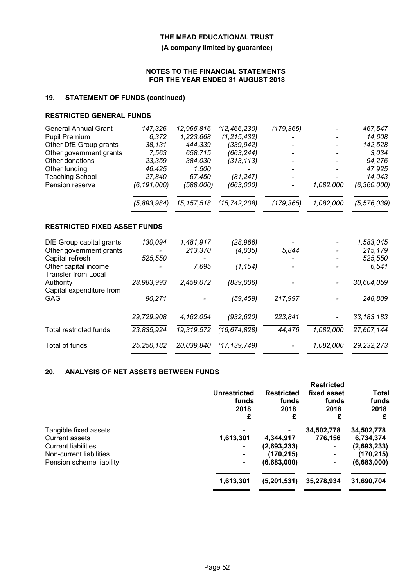**(A company limited by guarantee)**

#### **NOTES TO THE FINANCIAL STATEMENTS FOR THE YEAR ENDED 31 AUGUST 2018**

# **19. STATEMENT OF FUNDS (continued)**

### **RESTRICTED GENERAL FUNDS**

| <b>General Annual Grant</b>                        | 147,326       | 12,965,816   | (12, 466, 230) | (179, 365) |           | 467,547       |
|----------------------------------------------------|---------------|--------------|----------------|------------|-----------|---------------|
| Pupil Premium                                      | 6,372         | 1,223,668    | (1, 215, 432)  |            |           | 14,608        |
| Other DfE Group grants                             | 38,131        | 444,339      | (339, 942)     |            |           | 142,528       |
| Other government grants                            | 7,563         | 658,715      | (663, 244)     |            |           | 3,034         |
| Other donations                                    | 23,359        | 384,030      | (313, 113)     |            |           | 94,276        |
| Other funding                                      | 46,425        | 1,500        |                |            |           | 47,925        |
| <b>Teaching School</b>                             | 27,840        | 67,450       | (81, 247)      |            |           | 14,043        |
| Pension reserve                                    | (6, 191, 000) | (588,000)    | (663,000)      |            | 1,082,000 | (6, 360, 000) |
|                                                    | (5,893,984)   | 15, 157, 518 | (15, 742, 208) | (179, 365) | 1,082,000 | (5, 576, 039) |
| <b>RESTRICTED FIXED ASSET FUNDS</b>                |               |              |                |            |           |               |
| DfE Group capital grants                           | 130,094       | 1,481,917    | (28, 966)      |            |           | 1,583,045     |
| Other government grants                            |               | 213,370      | (4,035)        | 5,844      |           | 215,179       |
| Capital refresh                                    | 525,550       |              |                |            |           | 525,550       |
| Other capital income<br><b>Transfer from Local</b> |               | 7,695        | (1, 154)       |            |           | 6,541         |
| Authority<br>Capital expenditure from              | 28,983,993    | 2,459,072    | (839,006)      |            |           | 30,604,059    |
| GAG                                                | 90,271        |              | (59, 459)      | 217,997    |           | 248,809       |
|                                                    | 29,729,908    | 4,162,054    | (932, 620)     | 223,841    |           | 33, 183, 183  |
| <b>Total restricted funds</b>                      | 23,835,924    | 19,319,572   | (16, 674, 828) | 44,476     | 1,082,000 | 27,607,144    |
| Total of funds                                     | 25, 250, 182  | 20,039,840   | (17, 139, 749) |            | 1,082,000 | 29, 232, 273  |

## **20. ANALYSIS OF NET ASSETS BETWEEN FUNDS**

|                            | Unrestricted<br>funds<br>2018<br>£ | <b>Restricted</b><br>funds<br>2018<br>£ | <b>Restricted</b><br>fixed asset<br>funds<br>2018<br>£ | Total<br>funds<br>2018<br>£ |
|----------------------------|------------------------------------|-----------------------------------------|--------------------------------------------------------|-----------------------------|
| Tangible fixed assets      |                                    |                                         | 34,502,778                                             | 34,502,778                  |
| <b>Current assets</b>      | 1,613,301                          | 4,344,917                               | 776,156                                                | 6,734,374                   |
| <b>Current liabilities</b> |                                    | (2,693,233)                             | $\blacksquare$                                         | (2,693,233)                 |
| Non-current liabilities    | $\blacksquare$                     | (170, 215)                              | $\blacksquare$                                         | (170, 215)                  |
| Pension scheme liability   |                                    | (6,683,000)                             |                                                        | (6,683,000)                 |
|                            | 1,613,301                          | (5,201,531)                             | 35,278,934                                             | 31,690,704                  |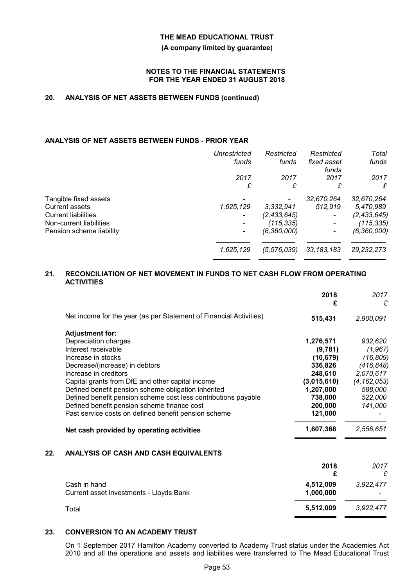#### **(A company limited by guarantee)**

#### **NOTES TO THE FINANCIAL STATEMENTS FOR THE YEAR ENDED 31 AUGUST 2018**

# **20. ANALYSIS OF NET ASSETS BETWEEN FUNDS (continued)**

## **ANALYSIS OF NET ASSETS BETWEEN FUNDS - PRIOR YEAR**

| <b>Unrestricted</b>      | Restricted    | Restricted           | Total         |
|--------------------------|---------------|----------------------|---------------|
| funds                    | funds         | fixed asset<br>funds | funds         |
| 2017                     | 2017          | 2017                 | 2017          |
| £                        | £             | £                    | £             |
|                          |               | 32,670,264           | 32,670,264    |
| 1,625,129                | 3,332,941     | 512,919              | 5,470,989     |
| $\overline{\phantom{a}}$ | (2, 433, 645) |                      | (2, 433, 645) |
|                          | (115, 335)    |                      | (115, 335)    |
|                          | (6,360,000)   |                      | (6,360,000)   |
| 1,625,129                | (5,576,039)   | 33, 183, 183         | 29, 232, 273  |
|                          |               |                      |               |

#### **21. RECONCILIATION OF NET MOVEMENT IN FUNDS TO NET CASH FLOW FROM OPERATING ACTIVITIES**

|     |                                                                    | 2018<br>£   | 2017<br>£     |
|-----|--------------------------------------------------------------------|-------------|---------------|
|     | Net income for the year (as per Statement of Financial Activities) | 515,431     | 2,900,091     |
|     | <b>Adjustment for:</b>                                             |             |               |
|     | Depreciation charges                                               | 1,276,571   | 932,620       |
|     | Interest receivable                                                | (9,781)     | (1, 967)      |
|     | Increase in stocks                                                 | (10, 679)   | (16, 809)     |
|     | Decrease/(increase) in debtors                                     | 336,826     | (416, 848)    |
|     | Increase in creditors                                              | 248,610     | 2,070,617     |
|     | Capital grants from DfE and other capital income                   | (3,015,610) | (4, 162, 053) |
|     | Defined benefit pension scheme obligation inherited                | 1,207,000   | 588,000       |
|     | Defined benefit pension scheme cost less contributions payable     | 738,000     | 522,000       |
|     | Defined benefit pension scheme finance cost                        | 200,000     | 141,000       |
|     | Past service costs on defined benefit pension scheme               | 121,000     |               |
|     | Net cash provided by operating activities                          | 1,607,368   | 2,556,651     |
| 22. | ANALYSIS OF CASH AND CASH EQUIVALENTS                              |             |               |
|     |                                                                    | 2018        | 2017          |
|     |                                                                    | £           | £             |
|     | Cash in hand                                                       | 4,512,009   | 3,922,477     |
|     | Current asset investments - Lloyds Bank                            | 1,000,000   |               |
|     | Total                                                              | 5,512,009   | 3,922,477     |
|     |                                                                    |             |               |

# **23. CONVERSION TO AN ACADEMY TRUST**

On 1 September 2017 Hamilton Academy converted to Academy Trust status under the Academies Act 2010 and all the operations and assets and liabilities were transferred to The Mead Educational Trust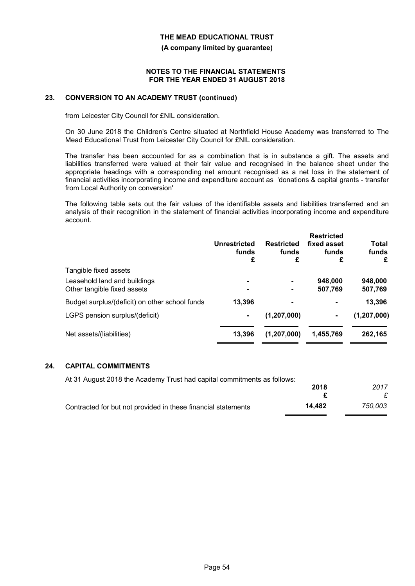**(A company limited by guarantee)**

#### **NOTES TO THE FINANCIAL STATEMENTS FOR THE YEAR ENDED 31 AUGUST 2018**

#### **23. CONVERSION TO AN ACADEMY TRUST (continued)**

from Leicester City Council for £NIL consideration.

On 30 June 2018 the Children's Centre situated at Northfield House Academy was transferred to The Mead Educational Trust from Leicester City Council for £NIL consideration.

The transfer has been accounted for as a combination that is in substance a gift. The assets and liabilities transferred were valued at their fair value and recognised in the balance sheet under the appropriate headings with a corresponding net amount recognised as a net loss in the statement of financial activities incorporating income and expenditure account as 'donations & capital grants - transfer from Local Authority on conversion'

The following table sets out the fair values of the identifiable assets and liabilities transferred and an analysis of their recognition in the statement of financial activities incorporating income and expenditure account.

|                                                | Unrestricted<br>funds<br>£ | <b>Restricted</b><br>funds<br>£ | <b>Restricted</b><br>fixed asset<br>funds<br>£ | Total<br>funds<br>£ |
|------------------------------------------------|----------------------------|---------------------------------|------------------------------------------------|---------------------|
| Tangible fixed assets                          |                            |                                 |                                                |                     |
| Leasehold land and buildings                   | ۰                          | $\blacksquare$                  | 948,000                                        | 948,000             |
| Other tangible fixed assets                    | $\blacksquare$             |                                 | 507,769                                        | 507,769             |
| Budget surplus/(deficit) on other school funds | 13.396                     | $\blacksquare$                  | $\blacksquare$                                 | 13,396              |
| LGPS pension surplus/(deficit)                 | ۰                          | (1, 207, 000)                   |                                                | (1, 207, 000)       |
| Net assets/(liabilities)                       | 13.396                     | (1, 207, 000)                   | 1,455,769                                      | 262,165             |
|                                                |                            |                                 |                                                |                     |

### **24. CAPITAL COMMITMENTS**

| At 31 August 2018 the Academy Trust had capital commitments as follows: |        |         |
|-------------------------------------------------------------------------|--------|---------|
|                                                                         | 2018   | 2017    |
|                                                                         |        |         |
| Contracted for but not provided in these financial statements           | 14.482 | 750.003 |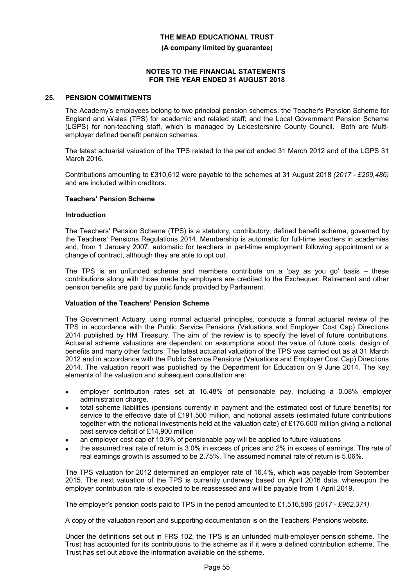**(A company limited by guarantee)**

#### **NOTES TO THE FINANCIAL STATEMENTS FOR THE YEAR ENDED 31 AUGUST 2018**

#### **25. PENSION COMMITMENTS**

The Academy's employees belong to two principal pension schemes: the Teacher's Pension Scheme for England and Wales (TPS) for academic and related staff; and the Local Government Pension Scheme (LGPS) for non-teaching staff, which is managed by Leicestershire County Council. Both are Multiemployer defined benefit pension schemes.

The latest actuarial valuation of the TPS related to the period ended 31 March 2012 and of the LGPS 31 March 2016.

Contributions amounting to £310,612 were payable to the schemes at 31 August 2018 *(2017 - £209,486)* and are included within creditors.

#### **Teachers' Pension Scheme**

#### **Introduction**

The Teachers' Pension Scheme (TPS) is a statutory, contributory, defined benefit scheme, governed by the Teachers' Pensions Regulations 2014. Membership is automatic for full-time teachers in academies and, from 1 January 2007, automatic for teachers in part-time employment following appointment or a change of contract, although they are able to opt out.

The TPS is an unfunded scheme and members contribute on a 'pay as you go' basis – these contributions along with those made by employers are credited to the Exchequer. Retirement and other pension benefits are paid by public funds provided by Parliament.

#### **Valuation of the Teachers' Pension Scheme**

The Government Actuary, using normal actuarial principles, conducts a formal actuarial review of the TPS in accordance with the Public Service Pensions (Valuations and Employer Cost Cap) Directions 2014 published by HM Treasury. The aim of the review is to specify the level of future contributions. Actuarial scheme valuations are dependent on assumptions about the value of future costs, design of benefits and many other factors. The latest actuarial valuation of the TPS was carried out as at 31 March 2012 and in accordance with the Public Service Pensions (Valuations and Employer Cost Cap) Directions 2014. The valuation report was published by the Department for Education on 9 June 2014. The key elements of the valuation and subsequent consultation are:

- employer contribution rates set at 16.48% of pensionable pay, including a 0.08% employer administration charge.
- total scheme liabilities (pensions currently in payment and the estimated cost of future benefits) for service to the effective date of £191,500 million, and notional assets (estimated future contributions together with the notional investments held at the valuation date) of £176,600 million giving a notional past service deficit of £14,900 million
- an employer cost cap of 10.9% of pensionable pay will be applied to future valuations
- the assumed real rate of return is 3.0% in excess of prices and 2% in excess of earnings. The rate of real earnings growth is assumed to be 2.75%. The assumed nominal rate of return is 5.06%.

The TPS valuation for 2012 determined an employer rate of 16.4%, which was payable from September 2015. The next valuation of the TPS is currently underway based on April 2016 data, whereupon the employer contribution rate is expected to be reassessed and will be payable from 1 April 2019.

The employer's pension costs paid to TPS in the period amounted to £1,516,586 *(2017 - £962,371).*

A copy of the valuation report and supporting documentation is on the Teachers' Pensions website.

Under the definitions set out in FRS 102, the TPS is an unfunded multi-employer pension scheme. The Trust has accounted for its contributions to the scheme as if it were a defined contribution scheme. The Trust has set out above the information available on the scheme.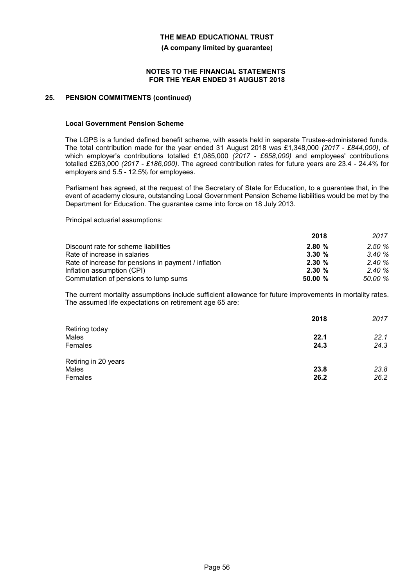**(A company limited by guarantee)**

#### **NOTES TO THE FINANCIAL STATEMENTS FOR THE YEAR ENDED 31 AUGUST 2018**

### **25. PENSION COMMITMENTS (continued)**

#### **Local Government Pension Scheme**

The LGPS is a funded defined benefit scheme, with assets held in separate Trustee-administered funds. The total contribution made for the year ended 31 August 2018 was £1,348,000 *(2017 - £844,000)*, of which employer's contributions totalled £1,085,000 (2017 - £658,000) and employees' contributions totalled £263,000 *(2017 - £186,000)*. The agreed contribution rates for future years are 23.4 - 24.4% for employers and 5.5 - 12.5% for employees.

Parliament has agreed, at the request of the Secretary of State for Education, to a guarantee that, in the event of academy closure, outstanding Local Government Pension Scheme liabilities would be met by the Department for Education. The guarantee came into force on 18 July 2013.

Principal actuarial assumptions:

|                                                      | 2018    | 2017    |
|------------------------------------------------------|---------|---------|
| Discount rate for scheme liabilities                 | 2.80%   | 2.50%   |
| Rate of increase in salaries                         | 3.30%   | 3.40%   |
| Rate of increase for pensions in payment / inflation | 2.30%   | 2.40%   |
| Inflation assumption (CPI)                           | 2.30%   | 2.40%   |
| Commutation of pensions to lump sums                 | 50.00 % | 50.00 % |

The current mortality assumptions include sufficient allowance for future improvements in mortality rates. The assumed life expectations on retirement age 65 are:

|                                          | 2018         | 2017         |
|------------------------------------------|--------------|--------------|
| Retiring today<br>Males<br>Females       | 22.1<br>24.3 | 22.1<br>24.3 |
| Retiring in 20 years<br>Males<br>Females | 23.8<br>26.2 | 23.8<br>26.2 |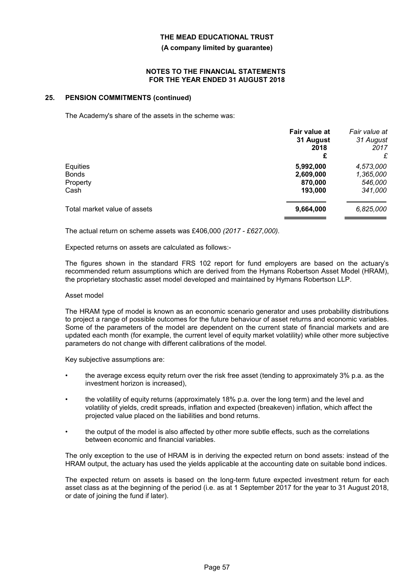#### **(A company limited by guarantee)**

#### **NOTES TO THE FINANCIAL STATEMENTS FOR THE YEAR ENDED 31 AUGUST 2018**

#### **25. PENSION COMMITMENTS (continued)**

The Academy's share of the assets in the scheme was:

| Fair value at | Fair value at<br>31 August |
|---------------|----------------------------|
| 2018          | 2017                       |
|               | £                          |
| 5,992,000     | 4,573,000                  |
| 2,609,000     | 1,365,000                  |
| 870,000       | 546,000                    |
| 193,000       | 341,000                    |
| 9,664,000     | 6,825,000                  |
|               | 31 August<br>£             |

The actual return on scheme assets was £406,000 *(2017 - £627,000).*

Expected returns on assets are calculated as follows:-

The figures shown in the standard FRS 102 report for fund employers are based on the actuary's recommended return assumptions which are derived from the Hymans Robertson Asset Model (HRAM), the proprietary stochastic asset model developed and maintained by Hymans Robertson LLP.

#### Asset model

The HRAM type of model is known as an economic scenario generator and uses probability distributions to project a range of possible outcomes for the future behaviour of asset returns and economic variables. Some of the parameters of the model are dependent on the current state of financial markets and are updated each month (for example, the current level of equity market volatility) while other more subjective parameters do not change with different calibrations of the model.

Key subjective assumptions are:

- the average excess equity return over the risk free asset (tending to approximately 3% p.a. as the investment horizon is increased),
- the volatility of equity returns (approximately 18% p.a. over the long term) and the level and volatility of yields, credit spreads, inflation and expected (breakeven) inflation, which affect the projected value placed on the liabilities and bond returns.
- the output of the model is also affected by other more subtle effects, such as the correlations between economic and financial variables.

The only exception to the use of HRAM is in deriving the expected return on bond assets: instead of the HRAM output, the actuary has used the yields applicable at the accounting date on suitable bond indices.

The expected return on assets is based on the long-term future expected investment return for each asset class as at the beginning of the period (i.e. as at 1 September 2017 for the year to 31 August 2018, or date of joining the fund if later).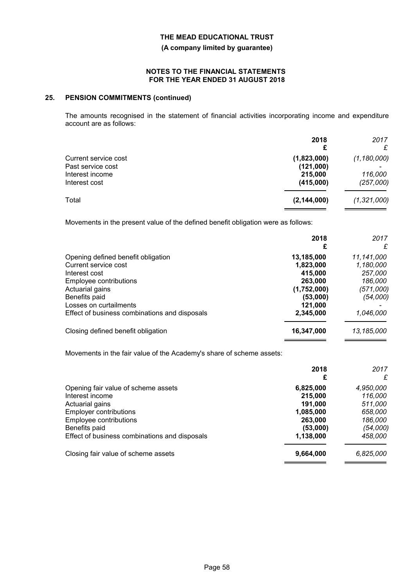**(A company limited by guarantee)**

#### **NOTES TO THE FINANCIAL STATEMENTS FOR THE YEAR ENDED 31 AUGUST 2018**

### **25. PENSION COMMITMENTS (continued)**

The amounts recognised in the statement of financial activities incorporating income and expenditure account are as follows:

|                      | 2018<br>£     | 2017<br>£     |
|----------------------|---------------|---------------|
| Current service cost | (1,823,000)   | (1, 180, 000) |
| Past service cost    | (121,000)     |               |
| Interest income      | 215,000       | 116,000       |
| Interest cost        | (415,000)     | (257,000)     |
| Total                | (2, 144, 000) | (1,321,000)   |

Movements in the present value of the defined benefit obligation were as follows:

|                                               | 2018<br>£   | 2017<br>£  |
|-----------------------------------------------|-------------|------------|
| Opening defined benefit obligation            | 13,185,000  | 11,141,000 |
| Current service cost                          | 1,823,000   | 1,180,000  |
| Interest cost                                 | 415,000     | 257,000    |
| Employee contributions                        | 263,000     | 186,000    |
| Actuarial gains                               | (1,752,000) | (571,000)  |
| Benefits paid                                 | (53,000)    | (54,000)   |
| Losses on curtailments                        | 121,000     |            |
| Effect of business combinations and disposals | 2,345,000   | 1,046,000  |
| Closing defined benefit obligation            | 16,347,000  | 13,185,000 |

Movements in the fair value of the Academy's share of scheme assets:

|                                               | 2018<br>£ | 2017<br>£ |
|-----------------------------------------------|-----------|-----------|
| Opening fair value of scheme assets           | 6,825,000 | 4,950,000 |
| Interest income                               | 215,000   | 116,000   |
| Actuarial gains                               | 191.000   | 511,000   |
| <b>Employer contributions</b>                 | 1,085,000 | 658,000   |
| Employee contributions                        | 263,000   | 186,000   |
| Benefits paid                                 | (53,000)  | (54,000)  |
| Effect of business combinations and disposals | 1,138,000 | 458,000   |
| Closing fair value of scheme assets           | 9,664,000 | 6,825,000 |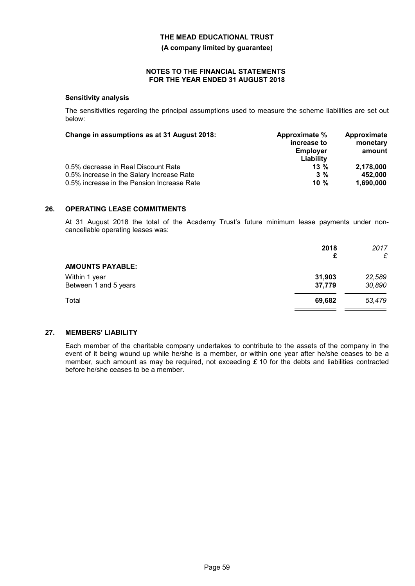**(A company limited by guarantee)**

### **NOTES TO THE FINANCIAL STATEMENTS FOR THE YEAR ENDED 31 AUGUST 2018**

#### **Sensitivity analysis**

The sensitivities regarding the principal assumptions used to measure the scheme liabilities are set out below:

| Change in assumptions as at 31 August 2018: | Approximate %<br>increase to<br><b>Employer</b><br>Liability | Approximate<br>monetary<br>amount |
|---------------------------------------------|--------------------------------------------------------------|-----------------------------------|
| 0.5% decrease in Real Discount Rate         | $13\%$                                                       | 2.178.000                         |
| 0.5% increase in the Salary Increase Rate   | $3\%$                                                        | 452.000                           |
| 0.5% increase in the Pension Increase Rate  | 10 $%$                                                       | 1,690,000                         |

#### **26. OPERATING LEASE COMMITMENTS**

At 31 August 2018 the total of the Academy Trust's future minimum lease payments under noncancellable operating leases was:

|                                        | 2018<br>£        | 2017<br>£        |
|----------------------------------------|------------------|------------------|
| <b>AMOUNTS PAYABLE:</b>                |                  |                  |
| Within 1 year<br>Between 1 and 5 years | 31,903<br>37,779 | 22,589<br>30,890 |
| Total                                  | 69,682           | 53,479           |

#### **27. MEMBERS' LIABILITY**

Each member of the charitable company undertakes to contribute to the assets of the company in the event of it being wound up while he/she is a member, or within one year after he/she ceases to be a member, such amount as may be required, not exceeding *£* 10 for the debts and liabilities contracted before he/she ceases to be a member.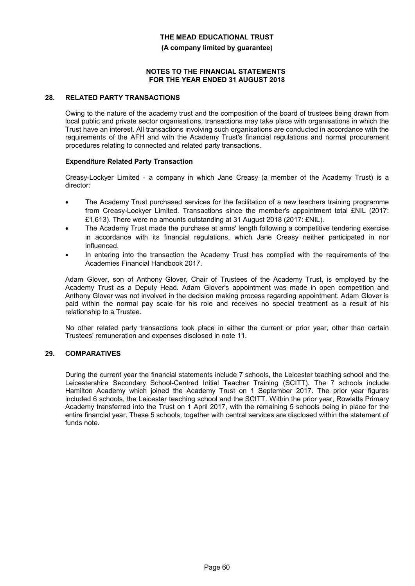**(A company limited by guarantee)**

#### **NOTES TO THE FINANCIAL STATEMENTS FOR THE YEAR ENDED 31 AUGUST 2018**

#### **28. RELATED PARTY TRANSACTIONS**

Owing to the nature of the academy trust and the composition of the board of trustees being drawn from local public and private sector organisations, transactions may take place with organisations in which the Trust have an interest. All transactions involving such organisations are conducted in accordance with the requirements of the AFH and with the Academy Trust's financial regulations and normal procurement procedures relating to connected and related party transactions.

## **Expenditure Related Party Transaction**

Creasy-Lockyer Limited - a company in which Jane Creasy (a member of the Academy Trust) is a director:

- The Academy Trust purchased services for the facilitation of a new teachers training programme from Creasy-Lockyer Limited. Transactions since the member's appointment total £NIL (2017: £1,613). There were no amounts outstanding at 31 August 2018 (2017: £NIL).
- The Academy Trust made the purchase at arms' length following a competitive tendering exercise in accordance with its financial regulations, which Jane Creasy neither participated in nor influenced.
- In entering into the transaction the Academy Trust has complied with the requirements of the Academies Financial Handbook 2017.

Adam Glover, son of Anthony Glover, Chair of Trustees of the Academy Trust, is employed by the Academy Trust as a Deputy Head. Adam Glover's appointment was made in open competition and Anthony Glover was not involved in the decision making process regarding appointment. Adam Glover is paid within the normal pay scale for his role and receives no special treatment as a result of his relationship to a Trustee.

No other related party transactions took place in either the current or prior year, other than certain Trustees' remuneration and expenses disclosed in note 11.

### **29. COMPARATIVES**

During the current year the financial statements include 7 schools, the Leicester teaching school and the Leicestershire Secondary School-Centred Initial Teacher Training (SCITT). The 7 schools include Hamilton Academy which joined the Academy Trust on 1 September 2017. The prior year figures included 6 schools, the Leicester teaching school and the SCITT. Within the prior year, Rowlatts Primary Academy transferred into the Trust on 1 April 2017, with the remaining 5 schools being in place for the entire financial year. These 5 schools, together with central services are disclosed within the statement of funds note.